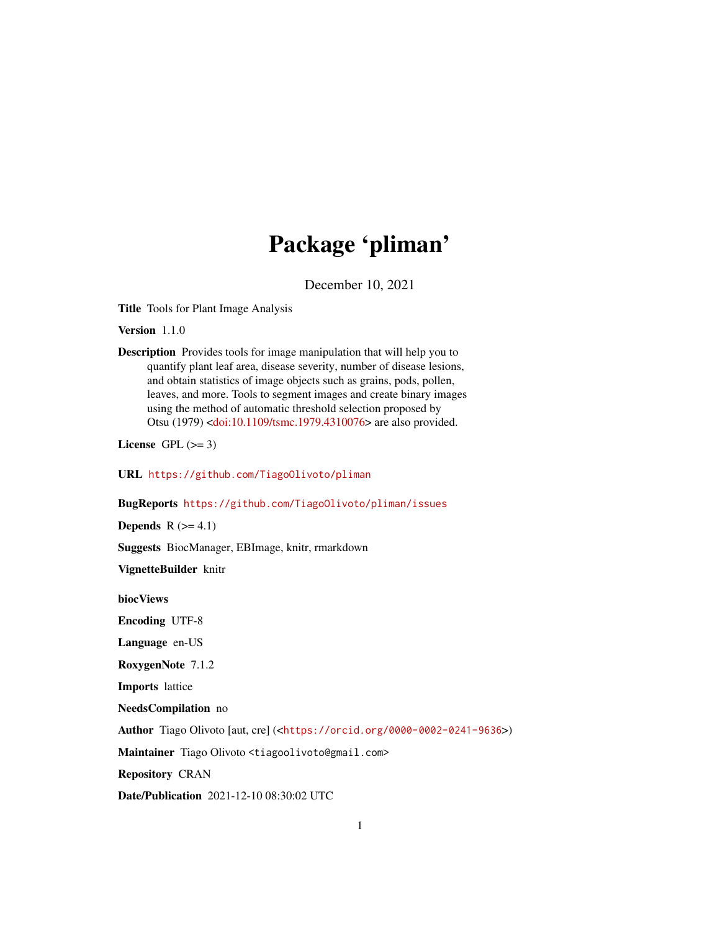# Package 'pliman'

December 10, 2021

<span id="page-0-0"></span>Title Tools for Plant Image Analysis

Version 1.1.0

Description Provides tools for image manipulation that will help you to quantify plant leaf area, disease severity, number of disease lesions, and obtain statistics of image objects such as grains, pods, pollen, leaves, and more. Tools to segment images and create binary images using the method of automatic threshold selection proposed by Otsu (1979) [<doi:10.1109/tsmc.1979.4310076>](https://doi.org/10.1109/tsmc.1979.4310076) are also provided.

License GPL  $(>= 3)$ 

URL <https://github.com/TiagoOlivoto/pliman>

BugReports <https://github.com/TiagoOlivoto/pliman/issues>

**Depends**  $R$  ( $>= 4.1$ )

Suggests BiocManager, EBImage, knitr, rmarkdown

VignetteBuilder knitr

biocViews

Encoding UTF-8

Language en-US

RoxygenNote 7.1.2

Imports lattice

NeedsCompilation no

Author Tiago Olivoto [aut, cre] (<<https://orcid.org/0000-0002-0241-9636>>)

Maintainer Tiago Olivoto <tiagoolivoto@gmail.com>

Repository CRAN

Date/Publication 2021-12-10 08:30:02 UTC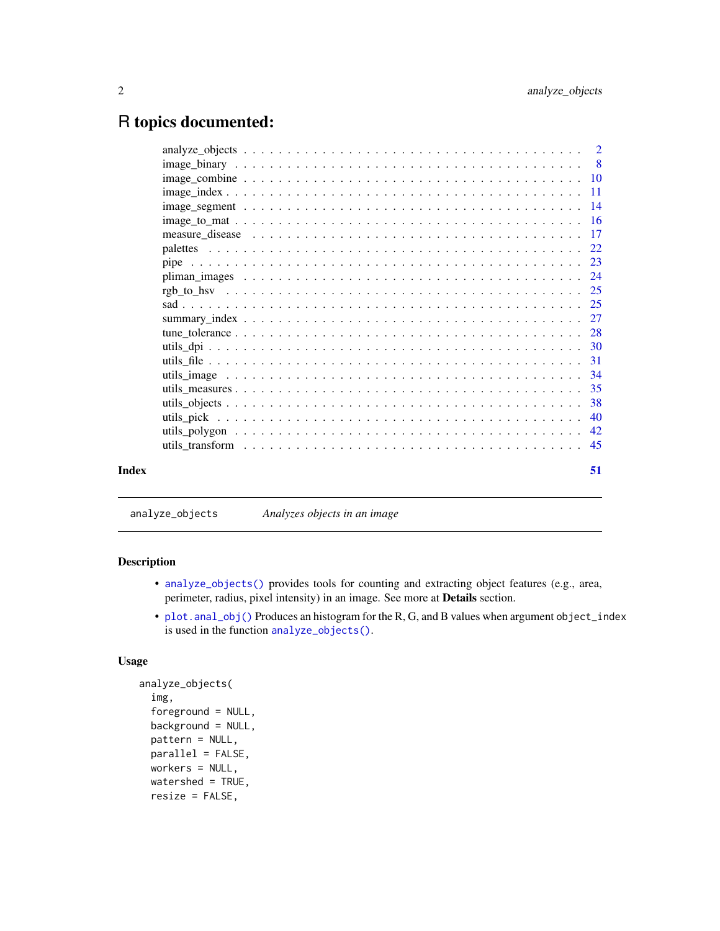# <span id="page-1-0"></span>R topics documented:

|       | $\overline{11}$ |
|-------|-----------------|
|       |                 |
|       |                 |
|       |                 |
|       |                 |
|       |                 |
|       |                 |
|       |                 |
|       |                 |
|       |                 |
|       |                 |
|       |                 |
|       |                 |
|       |                 |
|       |                 |
|       |                 |
|       |                 |
|       | 42              |
|       | 45              |
|       |                 |
| Index | 51              |
|       |                 |

<span id="page-1-1"></span>analyze\_objects *Analyzes objects in an image*

# <span id="page-1-2"></span>Description

- [analyze\\_objects\(\)](#page-1-1) provides tools for counting and extracting object features (e.g., area, perimeter, radius, pixel intensity) in an image. See more at Details section.
- [plot.anal\\_obj\(\)](#page-1-2) Produces an histogram for the R, G, and B values when argument object\_index is used in the function [analyze\\_objects\(\)](#page-1-1).

```
analyze_objects(
  img,
  foreground = NULL,
 background = NULL,
 pattern = NULL,
 parallel = FALSE,
 workers = NULL,
  watershed = TRUE,
  resize = FALSE,
```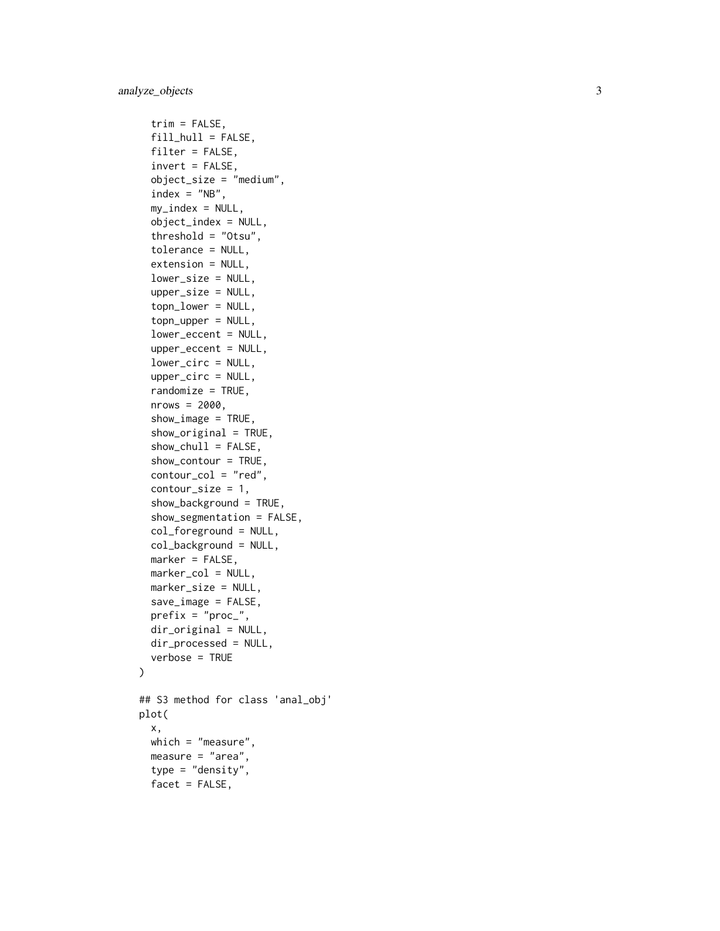```
trim = FALSE,fill\_hull = FALSE,filter = FALSE,
  invert = FALSE,
  object_size = "medium",
  index = "NB",my_index = NULL,object_index = NULL,
  threshold = "Otsu",
  tolerance = NULL,
  extension = NULL,
  lower_size = NULL,
  upper_size = NULL,
  topn_lower = NULL,
  topn_upper = NULL,
  lower_eccent = NULL,
  upper_eccent = NULL,
  lower_circ = NULL,
  upper_circ = NULL,
  randomize = TRUE,nrows = 2000,show_image = TRUE,
  show_original = TRUE,
  show\_chull = FALSE,show_contour = TRUE,
  contour_col = "red",
  contour_size = 1,
  show_background = TRUE,
  show_segmentation = FALSE,
  col_foreground = NULL,
  col_background = NULL,
 marker = FALSE,
 marker_col = NULL,
 marker_size = NULL,
  save_image = FALSE,
 prefix = "proc_",dir_original = NULL,
 dir_processed = NULL,
  verbose = TRUE
)
## S3 method for class 'anal_obj'
plot(
 x,
 which = "measure",
 measure = "area",
  type = "density",
  facet = FALSE,
```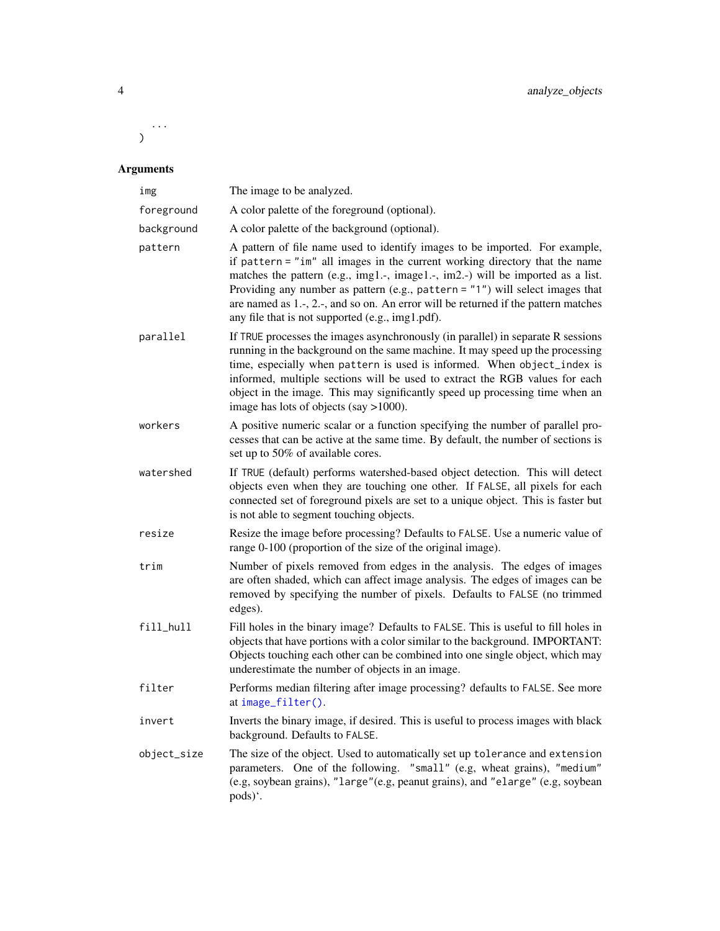<span id="page-3-0"></span>...  $\lambda$ 

# Arguments

| img         | The image to be analyzed.                                                                                                                                                                                                                                                                                                                                                                                                                                                         |
|-------------|-----------------------------------------------------------------------------------------------------------------------------------------------------------------------------------------------------------------------------------------------------------------------------------------------------------------------------------------------------------------------------------------------------------------------------------------------------------------------------------|
| foreground  | A color palette of the foreground (optional).                                                                                                                                                                                                                                                                                                                                                                                                                                     |
| background  | A color palette of the background (optional).                                                                                                                                                                                                                                                                                                                                                                                                                                     |
| pattern     | A pattern of file name used to identify images to be imported. For example,<br>if pattern = "im" all images in the current working directory that the name<br>matches the pattern (e.g., img1.-, image1.-, im2.-) will be imported as a list.<br>Providing any number as pattern (e.g., pattern = $"1"$ ) will select images that<br>are named as $1.-$ , $2.-$ , and so on. An error will be returned if the pattern matches<br>any file that is not supported (e.g., img1.pdf). |
| parallel    | If TRUE processes the images asynchronously (in parallel) in separate R sessions<br>running in the background on the same machine. It may speed up the processing<br>time, especially when pattern is used is informed. When object_index is<br>informed, multiple sections will be used to extract the RGB values for each<br>object in the image. This may significantly speed up processing time when an<br>image has lots of objects (say $>1000$ ).                          |
| workers     | A positive numeric scalar or a function specifying the number of parallel pro-<br>cesses that can be active at the same time. By default, the number of sections is<br>set up to 50% of available cores.                                                                                                                                                                                                                                                                          |
| watershed   | If TRUE (default) performs watershed-based object detection. This will detect<br>objects even when they are touching one other. If FALSE, all pixels for each<br>connected set of foreground pixels are set to a unique object. This is faster but<br>is not able to segment touching objects.                                                                                                                                                                                    |
| resize      | Resize the image before processing? Defaults to FALSE. Use a numeric value of<br>range 0-100 (proportion of the size of the original image).                                                                                                                                                                                                                                                                                                                                      |
| trim        | Number of pixels removed from edges in the analysis. The edges of images<br>are often shaded, which can affect image analysis. The edges of images can be<br>removed by specifying the number of pixels. Defaults to FALSE (no trimmed<br>edges).                                                                                                                                                                                                                                 |
| fill_hull   | Fill holes in the binary image? Defaults to FALSE. This is useful to fill holes in<br>objects that have portions with a color similar to the background. IMPORTANT:<br>Objects touching each other can be combined into one single object, which may<br>underestimate the number of objects in an image.                                                                                                                                                                          |
| filter      | Performs median filtering after image processing? defaults to FALSE. See more<br>at image_filter().                                                                                                                                                                                                                                                                                                                                                                               |
| invert      | Inverts the binary image, if desired. This is useful to process images with black<br>background. Defaults to FALSE.                                                                                                                                                                                                                                                                                                                                                               |
| object_size | The size of the object. Used to automatically set up tolerance and extension<br>parameters. One of the following. "small" (e.g. wheat grains), "medium"<br>(e.g, soybean grains), "large"(e.g, peanut grains), and "elarge" (e.g, soybean<br>pods)'.                                                                                                                                                                                                                              |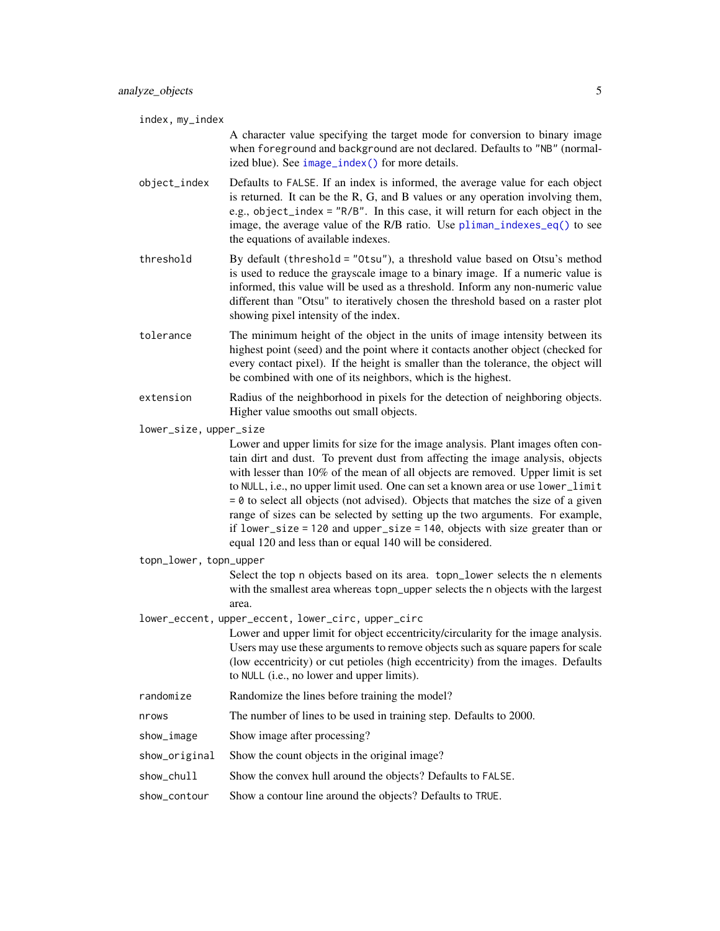<span id="page-4-0"></span>

| index, my_index        |                                                                                                                                                                                                                                                                                                                                                                                                                                                                                                                                                                                                                                                                |
|------------------------|----------------------------------------------------------------------------------------------------------------------------------------------------------------------------------------------------------------------------------------------------------------------------------------------------------------------------------------------------------------------------------------------------------------------------------------------------------------------------------------------------------------------------------------------------------------------------------------------------------------------------------------------------------------|
|                        | A character value specifying the target mode for conversion to binary image<br>when foreground and background are not declared. Defaults to "NB" (normal-<br>ized blue). See image_index() for more details.                                                                                                                                                                                                                                                                                                                                                                                                                                                   |
| object_index           | Defaults to FALSE. If an index is informed, the average value for each object<br>is returned. It can be the R, G, and B values or any operation involving them,<br>e.g., object_index = "R/B". In this case, it will return for each object in the<br>image, the average value of the R/B ratio. Use pliman_indexes_eq() to see<br>the equations of available indexes.                                                                                                                                                                                                                                                                                         |
| threshold              | By default (threshold = "0tsu"), a threshold value based on Otsu's method<br>is used to reduce the grayscale image to a binary image. If a numeric value is<br>informed, this value will be used as a threshold. Inform any non-numeric value<br>different than "Otsu" to iteratively chosen the threshold based on a raster plot<br>showing pixel intensity of the index.                                                                                                                                                                                                                                                                                     |
| tolerance              | The minimum height of the object in the units of image intensity between its<br>highest point (seed) and the point where it contacts another object (checked for<br>every contact pixel). If the height is smaller than the tolerance, the object will<br>be combined with one of its neighbors, which is the highest.                                                                                                                                                                                                                                                                                                                                         |
| extension              | Radius of the neighborhood in pixels for the detection of neighboring objects.<br>Higher value smooths out small objects.                                                                                                                                                                                                                                                                                                                                                                                                                                                                                                                                      |
| lower_size, upper_size |                                                                                                                                                                                                                                                                                                                                                                                                                                                                                                                                                                                                                                                                |
|                        | Lower and upper limits for size for the image analysis. Plant images often con-<br>tain dirt and dust. To prevent dust from affecting the image analysis, objects<br>with lesser than 10% of the mean of all objects are removed. Upper limit is set<br>to NULL, i.e., no upper limit used. One can set a known area or use lower_limit<br>$= 0$ to select all objects (not advised). Objects that matches the size of a given<br>range of sizes can be selected by setting up the two arguments. For example,<br>if $lower_size = 120$ and $upper_size = 140$ , objects with size greater than or<br>equal 120 and less than or equal 140 will be considered. |
| topn_lower, topn_upper |                                                                                                                                                                                                                                                                                                                                                                                                                                                                                                                                                                                                                                                                |
|                        | Select the top n objects based on its area. topn_lower selects the n elements<br>with the smallest area whereas topn_upper selects the n objects with the largest<br>area.                                                                                                                                                                                                                                                                                                                                                                                                                                                                                     |
|                        | lower_eccent, upper_eccent, lower_circ, upper_circ                                                                                                                                                                                                                                                                                                                                                                                                                                                                                                                                                                                                             |
|                        | Lower and upper limit for object eccentricity/circularity for the image analysis.<br>Users may use these arguments to remove objects such as square papers for scale<br>(low eccentricity) or cut petioles (high eccentricity) from the images. Defaults<br>to NULL (i.e., no lower and upper limits).                                                                                                                                                                                                                                                                                                                                                         |
| randomize              | Randomize the lines before training the model?                                                                                                                                                                                                                                                                                                                                                                                                                                                                                                                                                                                                                 |
| nrows                  | The number of lines to be used in training step. Defaults to 2000.                                                                                                                                                                                                                                                                                                                                                                                                                                                                                                                                                                                             |
| show_image             | Show image after processing?                                                                                                                                                                                                                                                                                                                                                                                                                                                                                                                                                                                                                                   |
| show_original          | Show the count objects in the original image?                                                                                                                                                                                                                                                                                                                                                                                                                                                                                                                                                                                                                  |
| show_chull             | Show the convex hull around the objects? Defaults to FALSE.                                                                                                                                                                                                                                                                                                                                                                                                                                                                                                                                                                                                    |
| show_contour           | Show a contour line around the objects? Defaults to TRUE.                                                                                                                                                                                                                                                                                                                                                                                                                                                                                                                                                                                                      |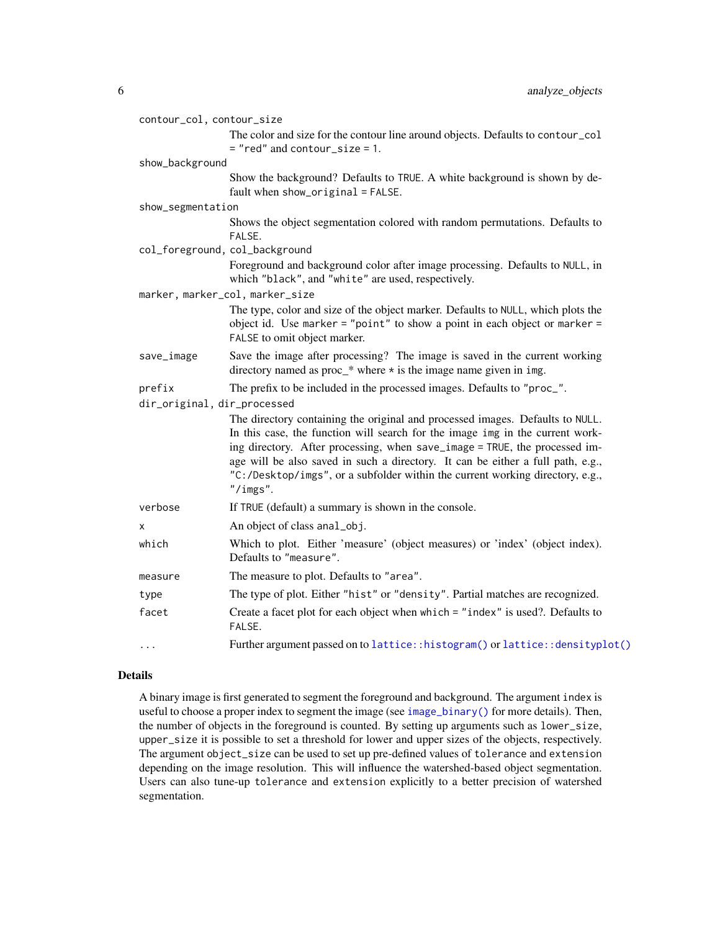<span id="page-5-0"></span>

| contour_col, contour_size   |                                                                                                                                                                                                                                                                                                                                                                                                                                |  |
|-----------------------------|--------------------------------------------------------------------------------------------------------------------------------------------------------------------------------------------------------------------------------------------------------------------------------------------------------------------------------------------------------------------------------------------------------------------------------|--|
|                             | The color and size for the contour line around objects. Defaults to contour_col<br>$=$ "red" and contour_size = 1.                                                                                                                                                                                                                                                                                                             |  |
| show_background             |                                                                                                                                                                                                                                                                                                                                                                                                                                |  |
|                             | Show the background? Defaults to TRUE. A white background is shown by de-<br>fault when show_original = FALSE.                                                                                                                                                                                                                                                                                                                 |  |
| show_segmentation           |                                                                                                                                                                                                                                                                                                                                                                                                                                |  |
|                             | Shows the object segmentation colored with random permutations. Defaults to<br>FALSE.                                                                                                                                                                                                                                                                                                                                          |  |
|                             | col_foreground, col_background                                                                                                                                                                                                                                                                                                                                                                                                 |  |
|                             | Foreground and background color after image processing. Defaults to NULL, in<br>which "black", and "white" are used, respectively.                                                                                                                                                                                                                                                                                             |  |
|                             | marker, marker_col, marker_size                                                                                                                                                                                                                                                                                                                                                                                                |  |
|                             | The type, color and size of the object marker. Defaults to NULL, which plots the<br>object id. Use marker = "point" to show a point in each object or marker =<br>FALSE to omit object marker.                                                                                                                                                                                                                                 |  |
| save_image                  | Save the image after processing? The image is saved in the current working<br>directory named as $proc_*$ where $\star$ is the image name given in img.                                                                                                                                                                                                                                                                        |  |
| prefix                      | The prefix to be included in the processed images. Defaults to "proc_".                                                                                                                                                                                                                                                                                                                                                        |  |
| dir_original, dir_processed |                                                                                                                                                                                                                                                                                                                                                                                                                                |  |
|                             | The directory containing the original and processed images. Defaults to NULL.<br>In this case, the function will search for the image img in the current work-<br>ing directory. After processing, when save_image = TRUE, the processed im-<br>age will be also saved in such a directory. It can be either a full path, e.g.,<br>"C:/Desktop/imgs", or a subfolder within the current working directory, e.g.,<br>''/imgs''. |  |
| verbose                     | If TRUE (default) a summary is shown in the console.                                                                                                                                                                                                                                                                                                                                                                           |  |
| X                           | An object of class anal_obj.                                                                                                                                                                                                                                                                                                                                                                                                   |  |
| which                       | Which to plot. Either 'measure' (object measures) or 'index' (object index).<br>Defaults to "measure".                                                                                                                                                                                                                                                                                                                         |  |
| measure                     | The measure to plot. Defaults to "area".                                                                                                                                                                                                                                                                                                                                                                                       |  |
| type                        | The type of plot. Either "hist" or "density". Partial matches are recognized.                                                                                                                                                                                                                                                                                                                                                  |  |
| facet                       | Create a facet plot for each object when which = "index" is used?. Defaults to<br>FALSE.                                                                                                                                                                                                                                                                                                                                       |  |
| $\cdots$                    | Further argument passed on to lattice::histogram() or lattice::densityplot()                                                                                                                                                                                                                                                                                                                                                   |  |

## Details

A binary image is first generated to segment the foreground and background. The argument index is useful to choose a proper index to segment the image (see [image\\_binary\(\)](#page-7-1) for more details). Then, the number of objects in the foreground is counted. By setting up arguments such as lower\_size, upper\_size it is possible to set a threshold for lower and upper sizes of the objects, respectively. The argument object\_size can be used to set up pre-defined values of tolerance and extension depending on the image resolution. This will influence the watershed-based object segmentation. Users can also tune-up tolerance and extension explicitly to a better precision of watershed segmentation.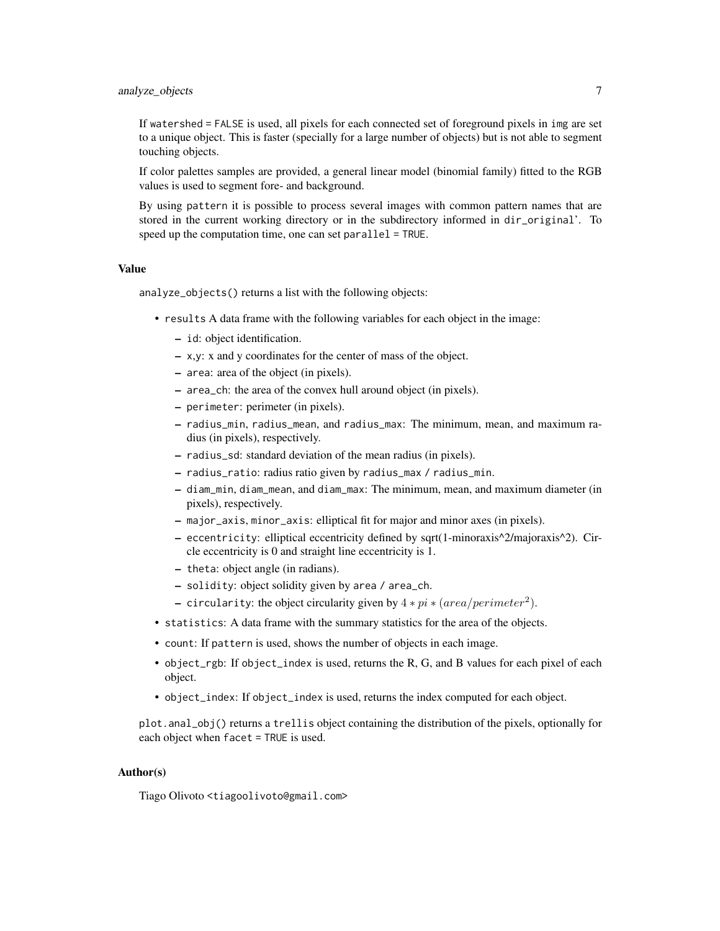# analyze\_objects 7

If watershed = FALSE is used, all pixels for each connected set of foreground pixels in img are set to a unique object. This is faster (specially for a large number of objects) but is not able to segment touching objects.

If color palettes samples are provided, a general linear model (binomial family) fitted to the RGB values is used to segment fore- and background.

By using pattern it is possible to process several images with common pattern names that are stored in the current working directory or in the subdirectory informed in dir\_original'. To speed up the computation time, one can set parallel = TRUE.

#### Value

analyze\_objects() returns a list with the following objects:

- results A data frame with the following variables for each object in the image:
	- id: object identification.
	- x,y: x and y coordinates for the center of mass of the object.
	- area: area of the object (in pixels).
	- area\_ch: the area of the convex hull around object (in pixels).
	- perimeter: perimeter (in pixels).
	- radius\_min, radius\_mean, and radius\_max: The minimum, mean, and maximum radius (in pixels), respectively.
	- radius\_sd: standard deviation of the mean radius (in pixels).
	- radius\_ratio: radius ratio given by radius\_max / radius\_min.
	- diam\_min, diam\_mean, and diam\_max: The minimum, mean, and maximum diameter (in pixels), respectively.
	- major\_axis, minor\_axis: elliptical fit for major and minor axes (in pixels).
	- eccentricity: elliptical eccentricity defined by sqrt(1-minoraxis^2/majoraxis^2). Circle eccentricity is 0 and straight line eccentricity is 1.
	- theta: object angle (in radians).
	- solidity: object solidity given by area / area\_ch.
	- circularity: the object circularity given by  $4 * pi * (area/perimeter^2)$ .
- statistics: A data frame with the summary statistics for the area of the objects.
- count: If pattern is used, shows the number of objects in each image.
- object\_rgb: If object\_index is used, returns the R, G, and B values for each pixel of each object.
- object\_index: If object\_index is used, returns the index computed for each object.

plot.anal\_obj() returns a trellis object containing the distribution of the pixels, optionally for each object when facet = TRUE is used.

#### Author(s)

Tiago Olivoto <tiagoolivoto@gmail.com>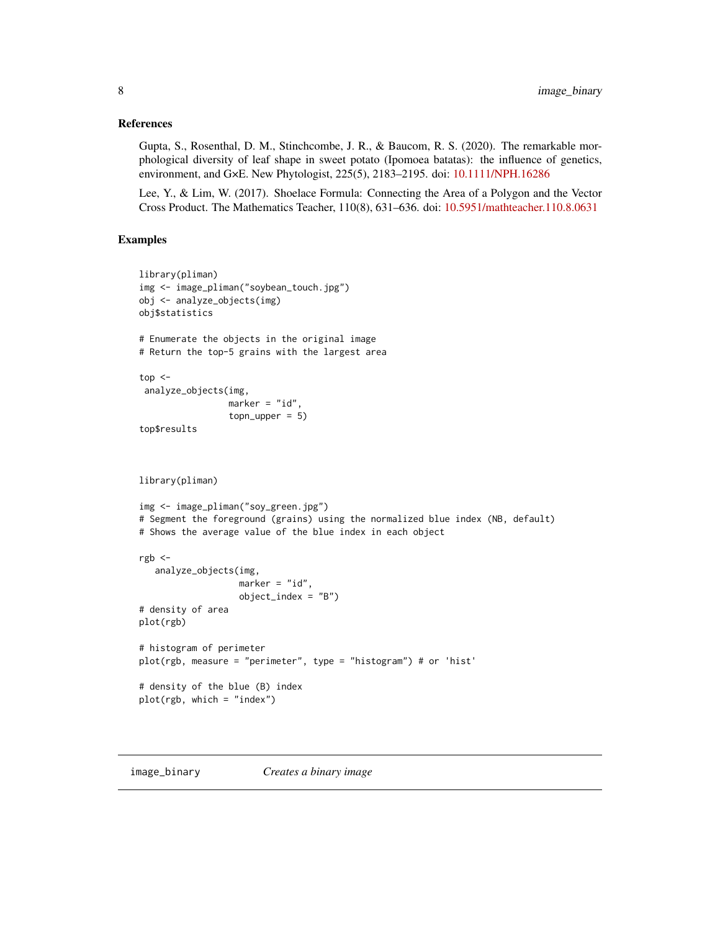#### <span id="page-7-0"></span>References

Gupta, S., Rosenthal, D. M., Stinchcombe, J. R., & Baucom, R. S. (2020). The remarkable morphological diversity of leaf shape in sweet potato (Ipomoea batatas): the influence of genetics, environment, and G×E. New Phytologist, 225(5), 2183–2195. doi: [10.1111/NPH.16286](https://doi.org/10.1111/NPH.16286)

Lee, Y., & Lim, W. (2017). Shoelace Formula: Connecting the Area of a Polygon and the Vector Cross Product. The Mathematics Teacher, 110(8), 631–636. doi: [10.5951/mathteacher.110.8.0631](https://doi.org/10.5951/mathteacher.110.8.0631)

# Examples

```
library(pliman)
img <- image_pliman("soybean_touch.jpg")
obj <- analyze_objects(img)
obj$statistics
# Enumerate the objects in the original image
# Return the top-5 grains with the largest area
top < -analyze_objects(img,
                 marker = "id",topupper = 5)top$results
library(pliman)
img <- image_pliman("soy_green.jpg")
# Segment the foreground (grains) using the normalized blue index (NB, default)
# Shows the average value of the blue index in each object
rgb <-
   analyze_objects(img,
                   marker = "id",
                   object_index = "B")# density of area
plot(rgb)
# histogram of perimeter
plot(rgb, measure = "perimeter", type = "histogram") # or 'hist'
# density of the blue (B) index
plot(rgb, which = "index")
```
<span id="page-7-1"></span>image\_binary *Creates a binary image*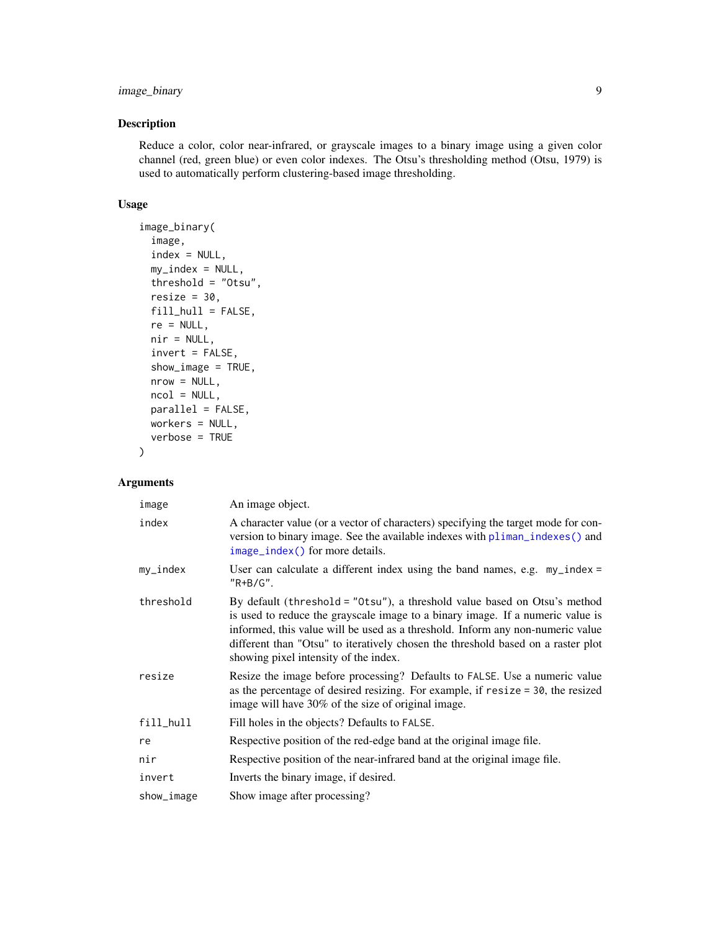# <span id="page-8-0"></span>image\_binary 9

# Description

Reduce a color, color near-infrared, or grayscale images to a binary image using a given color channel (red, green blue) or even color indexes. The Otsu's thresholding method (Otsu, 1979) is used to automatically perform clustering-based image thresholding.

#### Usage

```
image_binary(
  image,
 index = NULL,my_index = NULL,threshold = "Otsu",
  resize = 30,
 fill_hull = FALSE,
 re = NULL,nir = NULL,
  invert = FALSE,show_image = TRUE,
 nrow = NULL,ncol = NULL,parallel = FALSE,
 workers = NULL,
 verbose = TRUE
\mathcal{L}
```
# Arguments

| image      | An image object.                                                                                                                                                                                                                                                                                                                                                           |
|------------|----------------------------------------------------------------------------------------------------------------------------------------------------------------------------------------------------------------------------------------------------------------------------------------------------------------------------------------------------------------------------|
| index      | A character value (or a vector of characters) specifying the target mode for con-<br>version to binary image. See the available indexes with pliman_indexes() and<br>image_index() for more details.                                                                                                                                                                       |
| $my_index$ | User can calculate a different index using the band names, e.g. $my\_index =$<br>$"R+B/G".$                                                                                                                                                                                                                                                                                |
| threshold  | By default (threshold = "0tsu"), a threshold value based on Otsu's method<br>is used to reduce the grayscale image to a binary image. If a numeric value is<br>informed, this value will be used as a threshold. Inform any non-numeric value<br>different than "Otsu" to iteratively chosen the threshold based on a raster plot<br>showing pixel intensity of the index. |
| resize     | Resize the image before processing? Defaults to FALSE. Use a numeric value<br>as the percentage of desired resizing. For example, if resize = 30, the resized<br>image will have 30% of the size of original image.                                                                                                                                                        |
| fill_hull  | Fill holes in the objects? Defaults to FALSE.                                                                                                                                                                                                                                                                                                                              |
| re         | Respective position of the red-edge band at the original image file.                                                                                                                                                                                                                                                                                                       |
| nir        | Respective position of the near-infrared band at the original image file.                                                                                                                                                                                                                                                                                                  |
| invert     | Inverts the binary image, if desired.                                                                                                                                                                                                                                                                                                                                      |
| show_image | Show image after processing?                                                                                                                                                                                                                                                                                                                                               |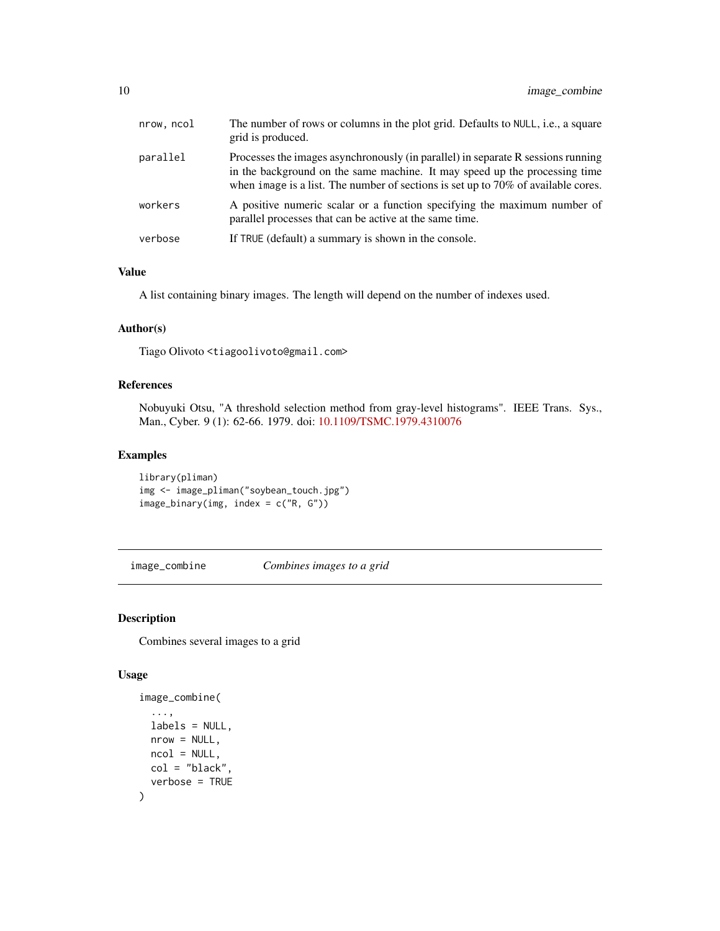<span id="page-9-0"></span>

| nrow, ncol | The number of rows or columns in the plot grid. Defaults to NULL, i.e., a square<br>grid is produced.                                                                                                                                                  |
|------------|--------------------------------------------------------------------------------------------------------------------------------------------------------------------------------------------------------------------------------------------------------|
| parallel   | Processes the images asynchronously (in parallel) in separate R sessions running<br>in the background on the same machine. It may speed up the processing time<br>when image is a list. The number of sections is set up to $70\%$ of available cores. |
| workers    | A positive numeric scalar or a function specifying the maximum number of<br>parallel processes that can be active at the same time.                                                                                                                    |
| verbose    | If TRUE (default) a summary is shown in the console.                                                                                                                                                                                                   |

# Value

A list containing binary images. The length will depend on the number of indexes used.

# Author(s)

Tiago Olivoto <tiagoolivoto@gmail.com>

# References

Nobuyuki Otsu, "A threshold selection method from gray-level histograms". IEEE Trans. Sys., Man., Cyber. 9 (1): 62-66. 1979. doi: [10.1109/TSMC.1979.4310076](https://doi.org/10.1109/TSMC.1979.4310076)

# Examples

```
library(pliman)
img <- image_pliman("soybean_touch.jpg")
image_binary(img, index = c("R, G"))
```
<span id="page-9-1"></span>image\_combine *Combines images to a grid*

# Description

Combines several images to a grid

```
image_combine(
  ...,
 labels = NULL,
 nrow = NULL,
 ncol = NULL,col = "black"verbose = TRUE
)
```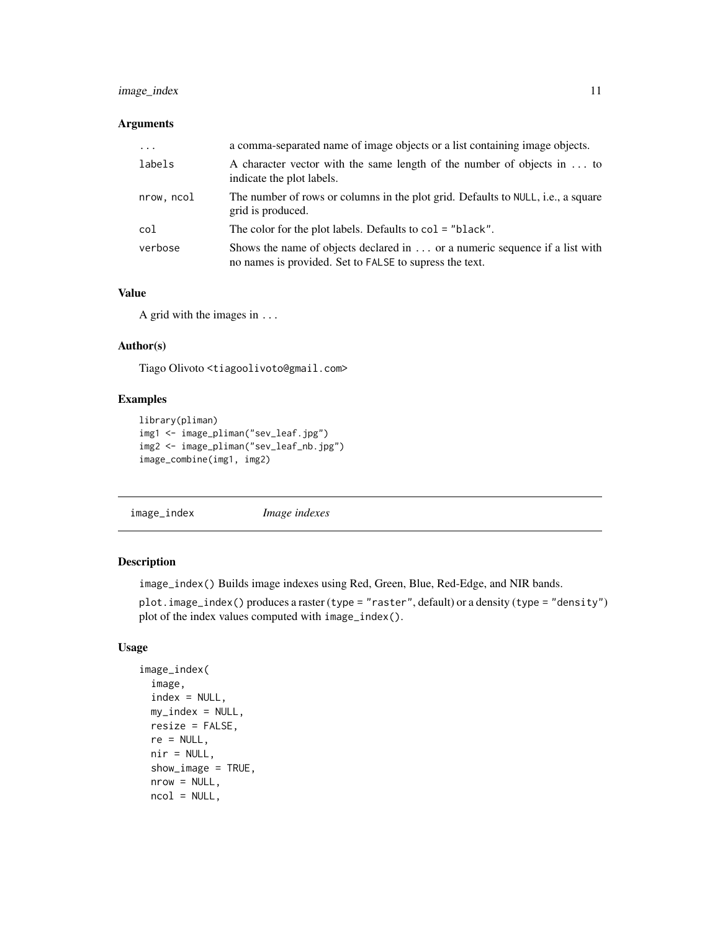# <span id="page-10-0"></span>image\_index 11

#### Arguments

| $\ddotsc$  | a comma-separated name of image objects or a list containing image objects.                                                            |
|------------|----------------------------------------------------------------------------------------------------------------------------------------|
| labels     | A character vector with the same length of the number of objects in  to<br>indicate the plot labels.                                   |
| nrow, ncol | The number of rows or columns in the plot grid. Defaults to NULL, i.e., a square<br>grid is produced.                                  |
| col        | The color for the plot labels. Defaults to col = "black".                                                                              |
| verbose    | Shows the name of objects declared in  or a numeric sequence if a list with<br>no names is provided. Set to FALSE to supress the text. |

# Value

A grid with the images in ...

#### Author(s)

Tiago Olivoto <tiagoolivoto@gmail.com>

#### Examples

```
library(pliman)
img1 <- image_pliman("sev_leaf.jpg")
img2 <- image_pliman("sev_leaf_nb.jpg")
image_combine(img1, img2)
```
<span id="page-10-1"></span>image\_index *Image indexes*

# Description

image\_index() Builds image indexes using Red, Green, Blue, Red-Edge, and NIR bands.

plot.image\_index() produces a raster (type = "raster", default) or a density (type = "density") plot of the index values computed with image\_index().

```
image_index(
 image,
 index = NULL,my_index = NULL,resize = FALSE,
 re = NULL,nir = NULL,show_image = TRUE,
 nrow = NULL,
 ncol = NULL,
```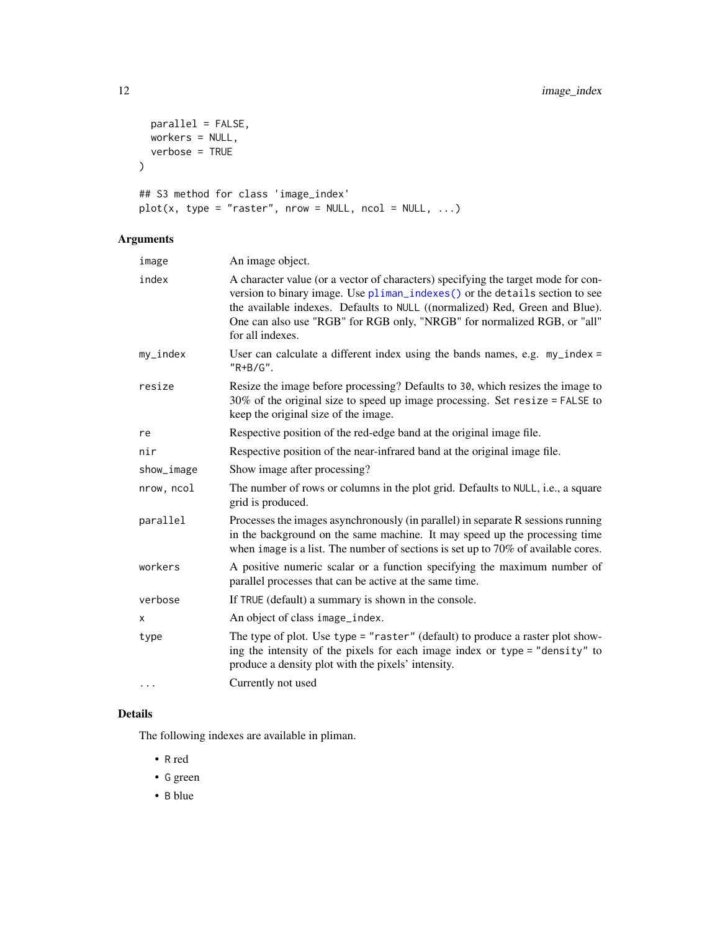```
parallel = FALSE,
  workers = NULL,
  verbose = TRUE
\mathcal{L}## S3 method for class 'image_index'
plot(x, type = "raster", nrow = NULL, ncol = NULL, ...)
```
# Arguments

| image      | An image object.                                                                                                                                                                                                                                                                                                                                |
|------------|-------------------------------------------------------------------------------------------------------------------------------------------------------------------------------------------------------------------------------------------------------------------------------------------------------------------------------------------------|
| index      | A character value (or a vector of characters) specifying the target mode for con-<br>version to binary image. Use pliman_indexes() or the details section to see<br>the available indexes. Defaults to NULL ((normalized) Red, Green and Blue).<br>One can also use "RGB" for RGB only, "NRGB" for normalized RGB, or "all"<br>for all indexes. |
| my_index   | User can calculate a different index using the bands names, e.g. $my\_index =$<br>"R+B/G".                                                                                                                                                                                                                                                      |
| resize     | Resize the image before processing? Defaults to 30, which resizes the image to<br>$30\%$ of the original size to speed up image processing. Set resize = FALSE to<br>keep the original size of the image.                                                                                                                                       |
| re         | Respective position of the red-edge band at the original image file.                                                                                                                                                                                                                                                                            |
| nir        | Respective position of the near-infrared band at the original image file.                                                                                                                                                                                                                                                                       |
| show_image | Show image after processing?                                                                                                                                                                                                                                                                                                                    |
| nrow, ncol | The number of rows or columns in the plot grid. Defaults to NULL, i.e., a square<br>grid is produced.                                                                                                                                                                                                                                           |
| parallel   | Processes the images asynchronously (in parallel) in separate R sessions running<br>in the background on the same machine. It may speed up the processing time<br>when image is a list. The number of sections is set up to $70\%$ of available cores.                                                                                          |
| workers    | A positive numeric scalar or a function specifying the maximum number of<br>parallel processes that can be active at the same time.                                                                                                                                                                                                             |
| verbose    | If TRUE (default) a summary is shown in the console.                                                                                                                                                                                                                                                                                            |
| X          | An object of class image_index.                                                                                                                                                                                                                                                                                                                 |
| type       | The type of plot. Use type = "raster" (default) to produce a raster plot show-<br>ing the intensity of the pixels for each image index or type = "density" to<br>produce a density plot with the pixels' intensity.                                                                                                                             |
| .          | Currently not used                                                                                                                                                                                                                                                                                                                              |

#### Details

The following indexes are available in pliman.

- R red
- G green
- B blue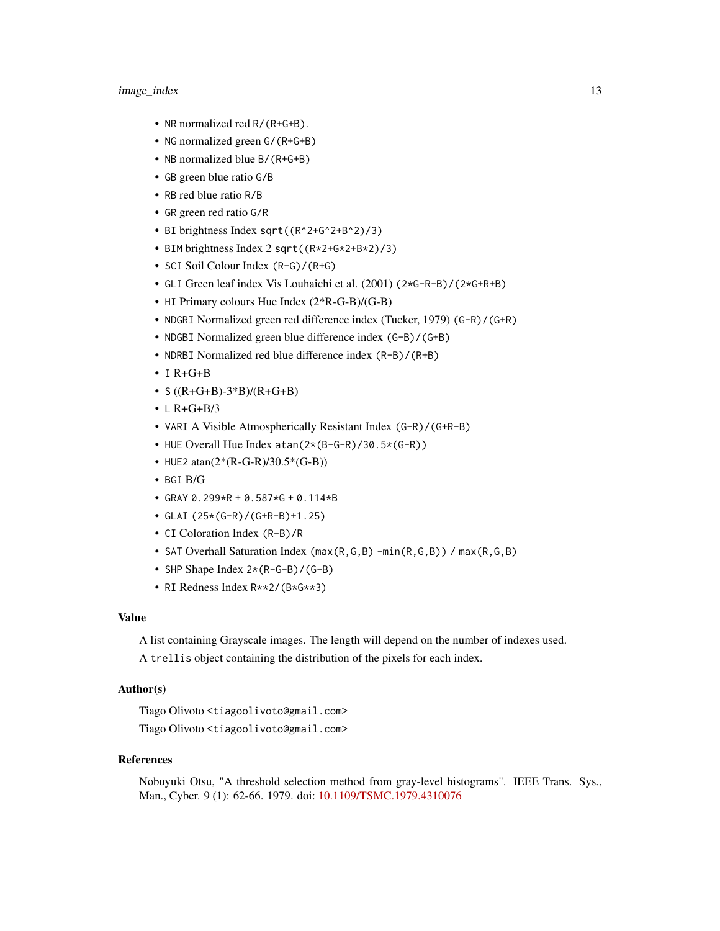#### image\_index 13

- NR normalized red R/(R+G+B).
- NG normalized green G/(R+G+B)
- NB normalized blue B/(R+G+B)
- GB green blue ratio G/B
- RB red blue ratio R/B
- GR green red ratio G/R
- BI brightness Index sqrt((R^2+G^2+B^2)/3)
- BIM brightness Index 2 sqrt((R\*2+G\*2+B\*2)/3)
- SCI Soil Colour Index (R-G)/(R+G)
- GLI Green leaf index Vis Louhaichi et al. (2001) (2\*G-R-B)/(2\*G+R+B)
- HI Primary colours Hue Index (2\*R-G-B)/(G-B)
- NDGRI Normalized green red difference index (Tucker, 1979) (G-R)/(G+R)
- NDGBI Normalized green blue difference index (G-B)/(G+B)
- NDRBI Normalized red blue difference index (R-B)/(R+B)
- $\cdot$  I R+G+B
- $S ((R+G+B)-3*B)/(R+G+B)$
- $\cdot$  L R+G+B/3
- VARI A Visible Atmospherically Resistant Index (G-R)/(G+R-B)
- HUE Overall Hue Index atan(2\*(B-G-R)/30.5\*(G-R))
- HUE2  $atan(2*(R-G-R)/30.5*(G-B))$
- BGI B/G
- GRAY 0.299\*R + 0.587\*G + 0.114\*B
- GLAI (25\*(G-R)/(G+R-B)+1.25)
- CI Coloration Index (R-B)/R
- SAT Overhall Saturation Index (max(R,G,B) -min(R,G,B)) / max(R,G,B)
- SHP Shape Index 2\*(R-G-B)/(G-B)
- RI Redness Index R\*\*2/(B\*G\*\*3)

#### Value

A list containing Grayscale images. The length will depend on the number of indexes used.

A trellis object containing the distribution of the pixels for each index.

### Author(s)

Tiago Olivoto <tiagoolivoto@gmail.com> Tiago Olivoto <tiagoolivoto@gmail.com>

#### References

Nobuyuki Otsu, "A threshold selection method from gray-level histograms". IEEE Trans. Sys., Man., Cyber. 9 (1): 62-66. 1979. doi: [10.1109/TSMC.1979.4310076](https://doi.org/10.1109/TSMC.1979.4310076)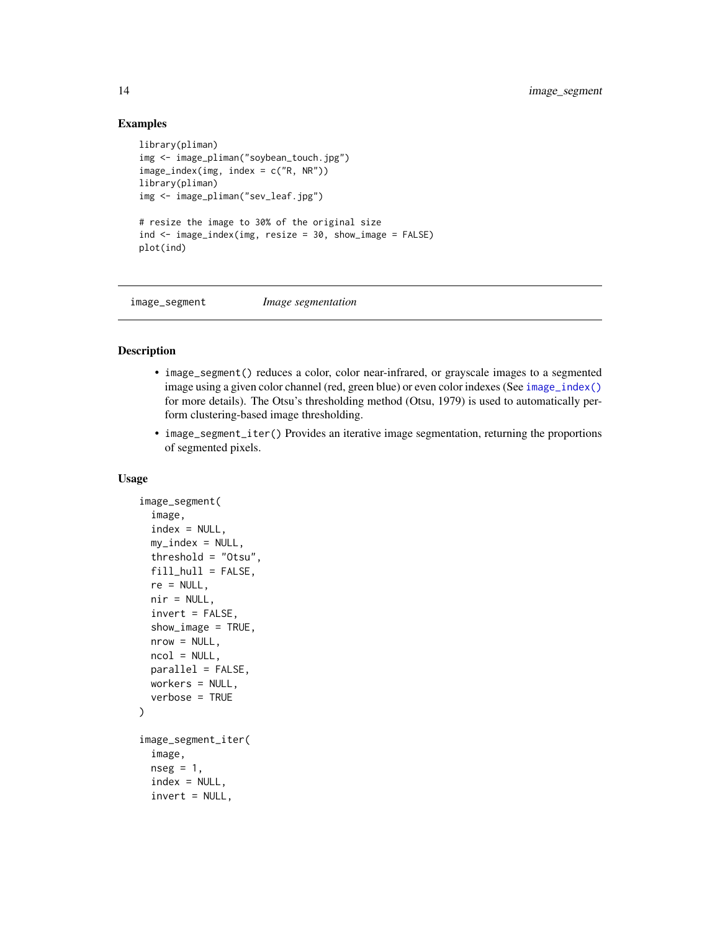#### Examples

```
library(pliman)
img <- image_pliman("soybean_touch.jpg")
image_index(img, index = c("R, NR"))
library(pliman)
img <- image_pliman("sev_leaf.jpg")
# resize the image to 30% of the original size
ind \le image_index(img, resize = 30, show_image = FALSE)
plot(ind)
```
image\_segment *Image segmentation*

#### Description

- image\_segment() reduces a color, color near-infrared, or grayscale images to a segmented image using a given color channel (red, green blue) or even color indexes (See [image\\_index\(\)](#page-10-1) for more details). The Otsu's thresholding method (Otsu, 1979) is used to automatically perform clustering-based image thresholding.
- image\_segment\_iter() Provides an iterative image segmentation, returning the proportions of segmented pixels.

```
image_segment(
  image,
  index = NULL,my_index = NULL,threshold = "Otsu",
  fill = FALSE,
  re = NULL,nir = NULL,invert = FALSE,show_image = TRUE,
 nrow = NULL,
 ncol = NULL,parallel = FALSE,
 workers = NULL,
  verbose = TRUE
\mathcal{L}image_segment_iter(
  image,
  nseg = 1,
  index = NULL,invert = NULL,
```
<span id="page-13-0"></span>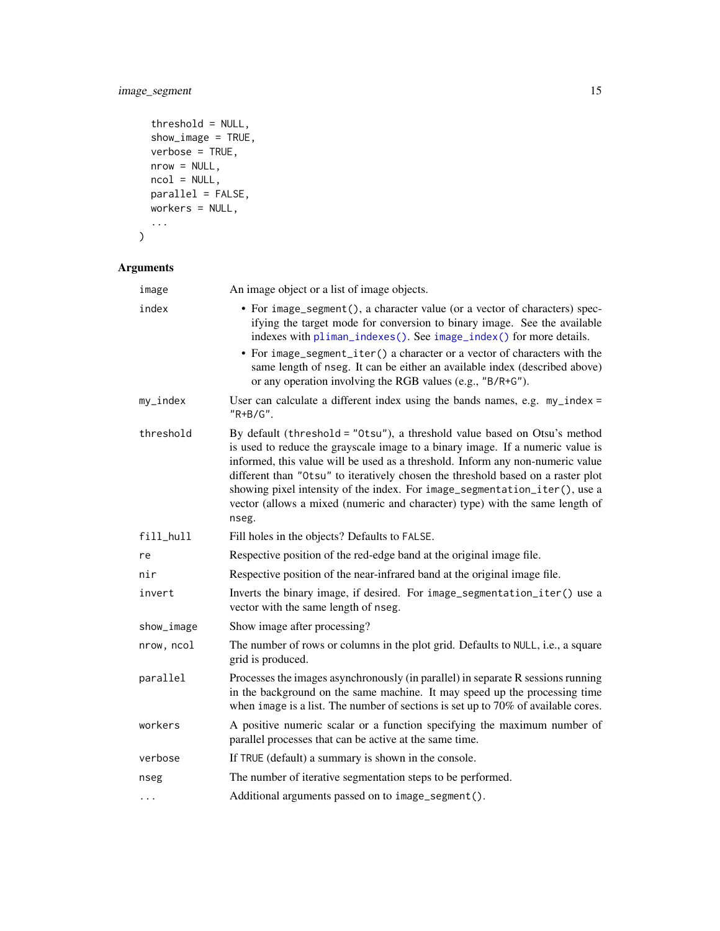# <span id="page-14-0"></span>image\_segment 15

```
threshold = NULL,show_image = TRUE,
verbose = TRUE,nrow = NULL,ncol = NULL,parallel = FALSE,
workers = NULL,
...
```

```
\mathcal{L}
```
# Arguments

| image      | An image object or a list of image objects.                                                                                                                                                                                                                                                                                                                                                                                                                                                              |
|------------|----------------------------------------------------------------------------------------------------------------------------------------------------------------------------------------------------------------------------------------------------------------------------------------------------------------------------------------------------------------------------------------------------------------------------------------------------------------------------------------------------------|
| index      | • For image_segment(), a character value (or a vector of characters) spec-<br>ifying the target mode for conversion to binary image. See the available<br>indexes with pliman_indexes(). See image_index() for more details.<br>• For image_segment_iter() a character or a vector of characters with the<br>same length of nseg. It can be either an available index (described above)<br>or any operation involving the RGB values (e.g., "B/R+G").                                                    |
| $my_index$ | User can calculate a different index using the bands names, e.g. $my\_index =$<br>"R+B/G".                                                                                                                                                                                                                                                                                                                                                                                                               |
| threshold  | By default (threshold = "0tsu"), a threshold value based on Otsu's method<br>is used to reduce the grayscale image to a binary image. If a numeric value is<br>informed, this value will be used as a threshold. Inform any non-numeric value<br>different than "Otsu" to iteratively chosen the threshold based on a raster plot<br>showing pixel intensity of the index. For image_segmentation_iter(), use a<br>vector (allows a mixed (numeric and character) type) with the same length of<br>nseg. |
| fill_hull  | Fill holes in the objects? Defaults to FALSE.                                                                                                                                                                                                                                                                                                                                                                                                                                                            |
| re         | Respective position of the red-edge band at the original image file.                                                                                                                                                                                                                                                                                                                                                                                                                                     |
| nir        | Respective position of the near-infrared band at the original image file.                                                                                                                                                                                                                                                                                                                                                                                                                                |
| invert     | Inverts the binary image, if desired. For image_segmentation_iter() use a<br>vector with the same length of nseg.                                                                                                                                                                                                                                                                                                                                                                                        |
| show_image | Show image after processing?                                                                                                                                                                                                                                                                                                                                                                                                                                                                             |
| nrow, ncol | The number of rows or columns in the plot grid. Defaults to NULL, i.e., a square<br>grid is produced.                                                                                                                                                                                                                                                                                                                                                                                                    |
| parallel   | Processes the images asynchronously (in parallel) in separate R sessions running<br>in the background on the same machine. It may speed up the processing time<br>when image is a list. The number of sections is set up to $70\%$ of available cores.                                                                                                                                                                                                                                                   |
| workers    | A positive numeric scalar or a function specifying the maximum number of<br>parallel processes that can be active at the same time.                                                                                                                                                                                                                                                                                                                                                                      |
| verbose    | If TRUE (default) a summary is shown in the console.                                                                                                                                                                                                                                                                                                                                                                                                                                                     |
| nseg       | The number of iterative segmentation steps to be performed.                                                                                                                                                                                                                                                                                                                                                                                                                                              |
| $\cdots$   | Additional arguments passed on to image_segment().                                                                                                                                                                                                                                                                                                                                                                                                                                                       |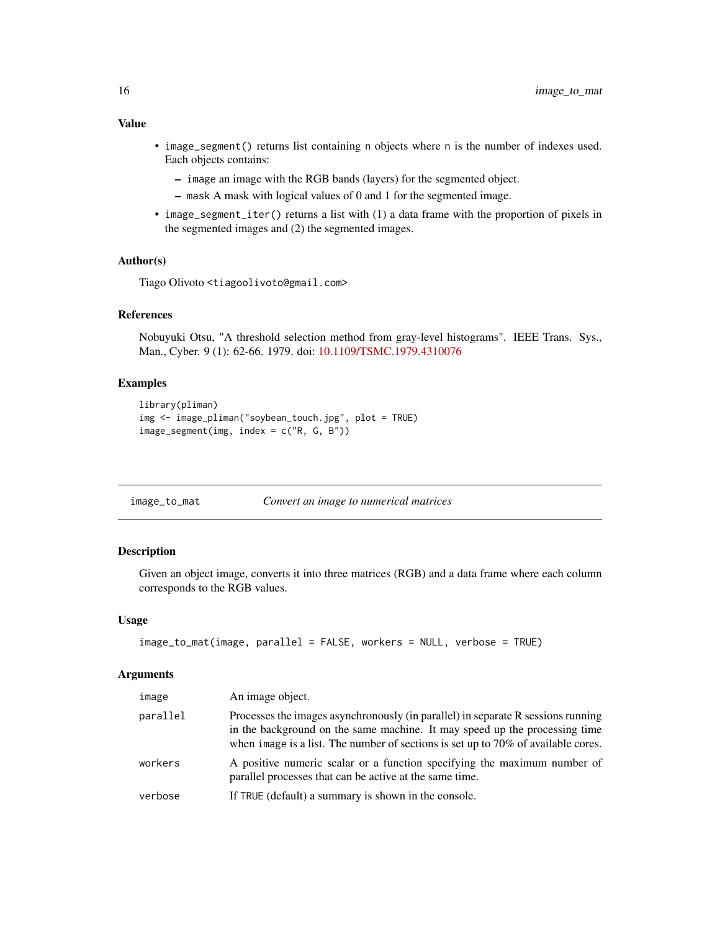- <span id="page-15-0"></span>• image\_segment() returns list containing n objects where n is the number of indexes used. Each objects contains:
	- image an image with the RGB bands (layers) for the segmented object.
	- mask A mask with logical values of 0 and 1 for the segmented image.
- image\_segment\_iter() returns a list with (1) a data frame with the proportion of pixels in the segmented images and (2) the segmented images.

#### Author(s)

Tiago Olivoto <tiagoolivoto@gmail.com>

#### References

Nobuyuki Otsu, "A threshold selection method from gray-level histograms". IEEE Trans. Sys., Man., Cyber. 9 (1): 62-66. 1979. doi: [10.1109/TSMC.1979.4310076](https://doi.org/10.1109/TSMC.1979.4310076)

# Examples

```
library(pliman)
img <- image_pliman("soybean_touch.jpg", plot = TRUE)
image\_segment(img, index = c("R, G, B"))
```

| image_to_mat | Convert an image to numerical matrices |  |
|--------------|----------------------------------------|--|
|              |                                        |  |

# Description

Given an object image, converts it into three matrices (RGB) and a data frame where each column corresponds to the RGB values.

#### Usage

```
image_to_mat(image, parallel = FALSE, workers = NULL, verbose = TRUE)
```
#### Arguments

| image    | An image object.                                                                                                                                                                                                                                       |
|----------|--------------------------------------------------------------------------------------------------------------------------------------------------------------------------------------------------------------------------------------------------------|
| parallel | Processes the images asynchronously (in parallel) in separate R sessions running<br>in the background on the same machine. It may speed up the processing time<br>when image is a list. The number of sections is set up to $70\%$ of available cores. |
| workers  | A positive numeric scalar or a function specifying the maximum number of<br>parallel processes that can be active at the same time.                                                                                                                    |
| verbose  | If TRUE (default) a summary is shown in the console.                                                                                                                                                                                                   |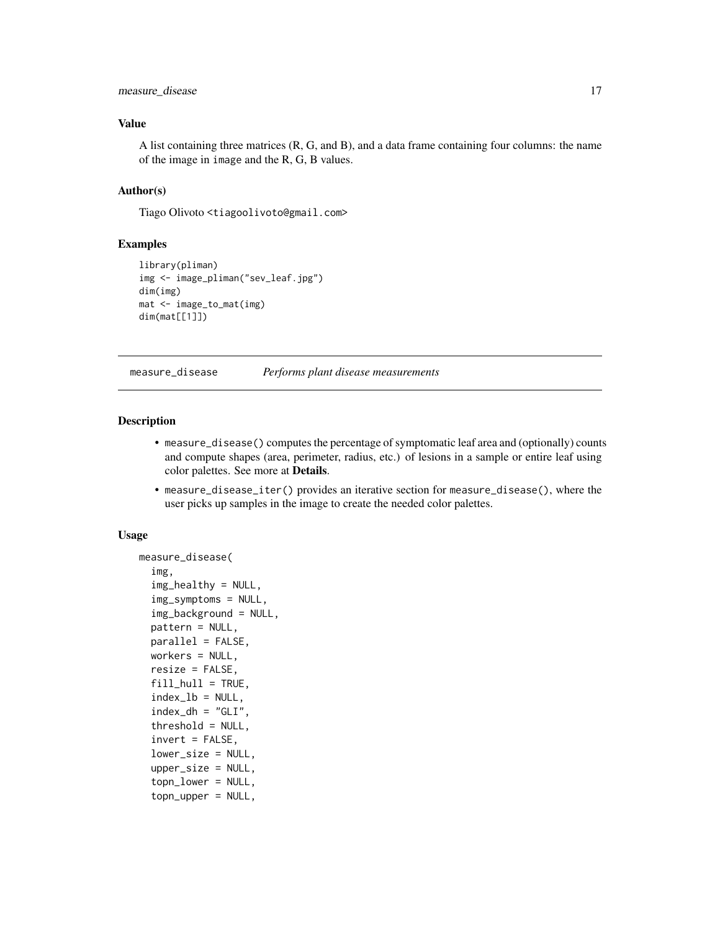# <span id="page-16-0"></span>measure\_disease 17

## Value

A list containing three matrices (R, G, and B), and a data frame containing four columns: the name of the image in image and the R, G, B values.

#### Author(s)

Tiago Olivoto <tiagoolivoto@gmail.com>

#### Examples

```
library(pliman)
img <- image_pliman("sev_leaf.jpg")
dim(img)
mat <- image_to_mat(img)
dim(mat[[1]])
```
<span id="page-16-1"></span>

measure\_disease *Performs plant disease measurements*

#### **Description**

- measure\_disease() computes the percentage of symptomatic leaf area and (optionally) counts and compute shapes (area, perimeter, radius, etc.) of lesions in a sample or entire leaf using color palettes. See more at Details.
- measure\_disease\_iter() provides an iterative section for measure\_disease(), where the user picks up samples in the image to create the needed color palettes.

```
measure_disease(
  img,
  img_healthy = NULL,
  img_symptoms = NULL,
  img_background = NULL,
  pattern = NULL,
 parallel = FALSE,
 workers = NULL,
  resize = FALSE,
  fill\_hull = TRUE,index_l = NULL,index_dh = "GLI",threshold = NULL,
  invert = FALSE,
  lower_size = NULL,
  upper_size = NULL,
  topn_lower = NULL,
  topn_upper = NULL,
```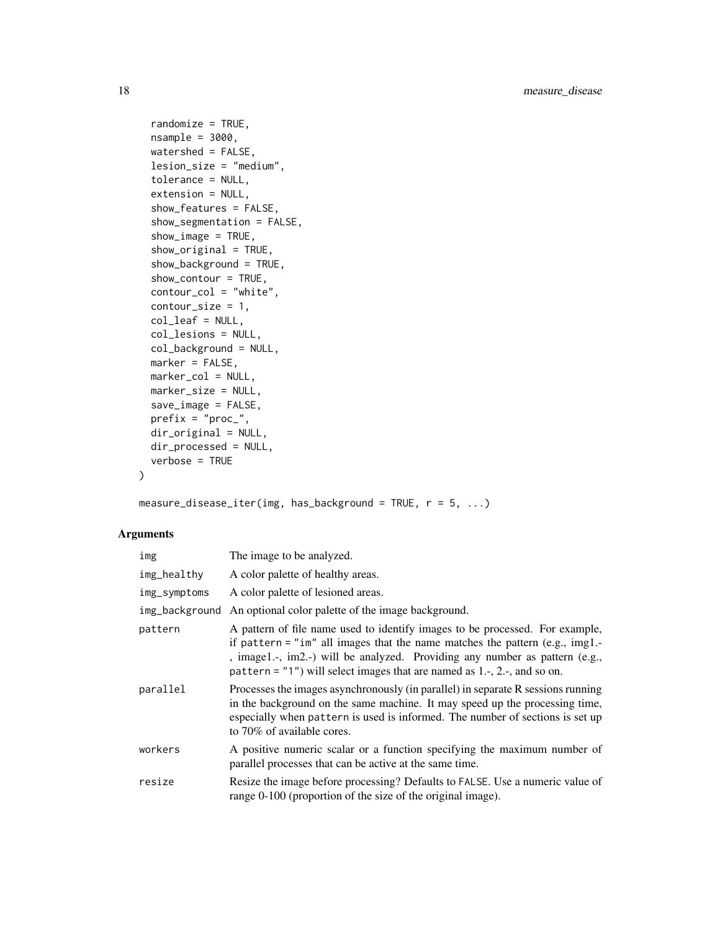```
randomize = TRUE,
nsample = 3000,watershed = FALSE,
lesion_size = "medium",
tolerance = NULL,
extension = NULL,
show_features = FALSE,
show_segmentation = FALSE,
show_image = TRUE,
show\_original = TRUE,show_background = TRUE,
show_contour = TRUE,
contour_col = "white",
contour_size = 1,
col_leaf = NULL,
col_lesions = NULL,
col_background = NULL,
marker = FALSE,
marker_col = NULL,
marker_size = NULL,
save_image = FALSE,
prefix = "proc__",dir_original = NULL,
dir_processed = NULL,
verbose = TRUE
```
measure\_disease\_iter(img, has\_background = TRUE,  $r = 5, ...$ )

# Arguments

 $\mathcal{L}$ 

| img          | The image to be analyzed.                                                                                                                                                                                                                                                                                                        |
|--------------|----------------------------------------------------------------------------------------------------------------------------------------------------------------------------------------------------------------------------------------------------------------------------------------------------------------------------------|
| img_healthy  | A color palette of healthy areas.                                                                                                                                                                                                                                                                                                |
| img_symptoms | A color palette of lesioned areas.                                                                                                                                                                                                                                                                                               |
|              | img_background An optional color palette of the image background.                                                                                                                                                                                                                                                                |
| pattern      | A pattern of file name used to identify images to be processed. For example,<br>if pattern = " $im$ " all images that the name matches the pattern (e.g., $img1.-$<br>, image1.-, im2.-) will be analyzed. Providing any number as pattern (e.g.,<br>pattern = $"1"$ ) will select images that are named as 1.-, 2.-, and so on. |
| parallel     | Processes the images asynchronously (in parallel) in separate R sessions running<br>in the background on the same machine. It may speed up the processing time,<br>especially when pattern is used is informed. The number of sections is set up<br>to 70% of available cores.                                                   |
| workers      | A positive numeric scalar or a function specifying the maximum number of<br>parallel processes that can be active at the same time.                                                                                                                                                                                              |
| resize       | Resize the image before processing? Defaults to FALSE. Use a numeric value of<br>range 0-100 (proportion of the size of the original image).                                                                                                                                                                                     |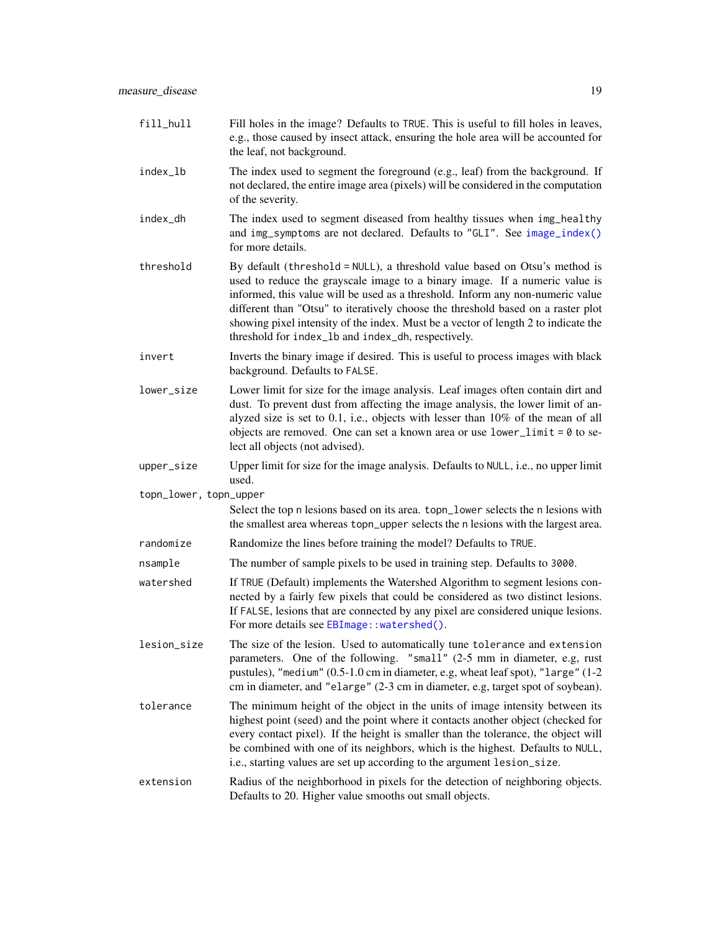<span id="page-18-0"></span>

| fill_hull              | Fill holes in the image? Defaults to TRUE. This is useful to fill holes in leaves,<br>e.g., those caused by insect attack, ensuring the hole area will be accounted for<br>the leaf, not background.                                                                                                                                                                                                                                                                        |
|------------------------|-----------------------------------------------------------------------------------------------------------------------------------------------------------------------------------------------------------------------------------------------------------------------------------------------------------------------------------------------------------------------------------------------------------------------------------------------------------------------------|
| index_lb               | The index used to segment the foreground (e.g., leaf) from the background. If<br>not declared, the entire image area (pixels) will be considered in the computation<br>of the severity.                                                                                                                                                                                                                                                                                     |
| index_dh               | The index used to segment diseased from healthy tissues when img_healthy<br>and img_symptoms are not declared. Defaults to "GLI". See image_index()<br>for more details.                                                                                                                                                                                                                                                                                                    |
| threshold              | By default (threshold = NULL), a threshold value based on Otsu's method is<br>used to reduce the grayscale image to a binary image. If a numeric value is<br>informed, this value will be used as a threshold. Inform any non-numeric value<br>different than "Otsu" to iteratively choose the threshold based on a raster plot<br>showing pixel intensity of the index. Must be a vector of length 2 to indicate the<br>threshold for index_1b and index_dh, respectively. |
| invert                 | Inverts the binary image if desired. This is useful to process images with black<br>background. Defaults to FALSE.                                                                                                                                                                                                                                                                                                                                                          |
| lower_size             | Lower limit for size for the image analysis. Leaf images often contain dirt and<br>dust. To prevent dust from affecting the image analysis, the lower limit of an-<br>alyzed size is set to 0.1, i.e., objects with lesser than 10% of the mean of all<br>objects are removed. One can set a known area or use $lower$ limit = 0 to se-<br>lect all objects (not advised).                                                                                                  |
| upper_size             | Upper limit for size for the image analysis. Defaults to NULL, i.e., no upper limit<br>used.                                                                                                                                                                                                                                                                                                                                                                                |
| topn_lower, topn_upper | Select the top n lesions based on its area. topn_lower selects the n lesions with<br>the smallest area whereas topn_upper selects the n lesions with the largest area.                                                                                                                                                                                                                                                                                                      |
| randomize              | Randomize the lines before training the model? Defaults to TRUE.                                                                                                                                                                                                                                                                                                                                                                                                            |
| nsample                | The number of sample pixels to be used in training step. Defaults to 3000.                                                                                                                                                                                                                                                                                                                                                                                                  |
| watershed              | If TRUE (Default) implements the Watershed Algorithm to segment lesions con-<br>nected by a fairly few pixels that could be considered as two distinct lesions.<br>If FALSE, lesions that are connected by any pixel are considered unique lesions.<br>For more details see EBImage:: watershed().                                                                                                                                                                          |

- lesion\_size The size of the lesion. Used to automatically tune tolerance and extension parameters. One of the following. "small" (2-5 mm in diameter, e.g, rust pustules), "medium" (0.5-1.0 cm in diameter, e.g, wheat leaf spot), "large" (1-2 cm in diameter, and "elarge" (2-3 cm in diameter, e.g, target spot of soybean).
- tolerance The minimum height of the object in the units of image intensity between its highest point (seed) and the point where it contacts another object (checked for every contact pixel). If the height is smaller than the tolerance, the object will be combined with one of its neighbors, which is the highest. Defaults to NULL, i.e., starting values are set up according to the argument lesion\_size.
- extension Radius of the neighborhood in pixels for the detection of neighboring objects. Defaults to 20. Higher value smooths out small objects.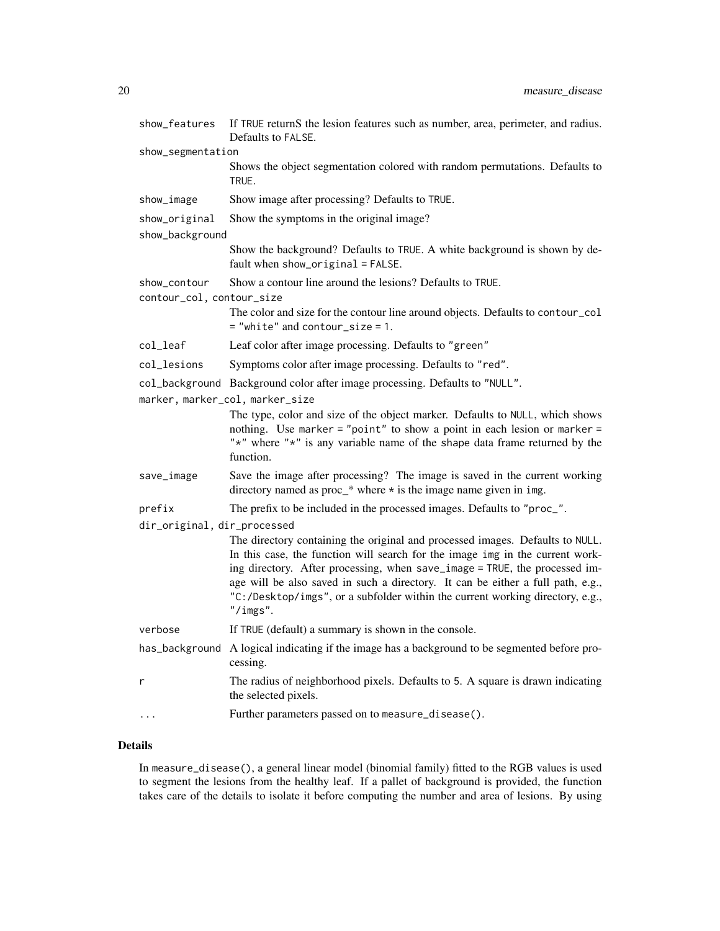| show_features                             | If TRUE returnS the lesion features such as number, area, perimeter, and radius.<br>Defaults to FALSE.                                                                                                                                                                                                                                                                                                                       |
|-------------------------------------------|------------------------------------------------------------------------------------------------------------------------------------------------------------------------------------------------------------------------------------------------------------------------------------------------------------------------------------------------------------------------------------------------------------------------------|
| show_segmentation                         |                                                                                                                                                                                                                                                                                                                                                                                                                              |
|                                           | Shows the object segmentation colored with random permutations. Defaults to<br>TRUE.                                                                                                                                                                                                                                                                                                                                         |
| show_image                                | Show image after processing? Defaults to TRUE.                                                                                                                                                                                                                                                                                                                                                                               |
| show_original                             | Show the symptoms in the original image?                                                                                                                                                                                                                                                                                                                                                                                     |
| show_background                           |                                                                                                                                                                                                                                                                                                                                                                                                                              |
|                                           | Show the background? Defaults to TRUE. A white background is shown by de-<br>fault when show_original = FALSE.                                                                                                                                                                                                                                                                                                               |
| show_contour<br>contour_col, contour_size | Show a contour line around the lesions? Defaults to TRUE.                                                                                                                                                                                                                                                                                                                                                                    |
|                                           | The color and size for the contour line around objects. Defaults to contour_col<br>$=$ "white" and contour_size = 1.                                                                                                                                                                                                                                                                                                         |
| col_leaf                                  | Leaf color after image processing. Defaults to "green"                                                                                                                                                                                                                                                                                                                                                                       |
| col_lesions                               | Symptoms color after image processing. Defaults to "red".                                                                                                                                                                                                                                                                                                                                                                    |
|                                           | col_background Background color after image processing. Defaults to "NULL".                                                                                                                                                                                                                                                                                                                                                  |
|                                           | marker, marker_col, marker_size                                                                                                                                                                                                                                                                                                                                                                                              |
|                                           | The type, color and size of the object marker. Defaults to NULL, which shows<br>nothing. Use marker = "point" to show a point in each lesion or marker =<br>"*" where "*" is any variable name of the shape data frame returned by the<br>function.                                                                                                                                                                          |
| save_image                                | Save the image after processing? The image is saved in the current working<br>directory named as $proc_*$ where $\star$ is the image name given in img.                                                                                                                                                                                                                                                                      |
| prefix                                    | The prefix to be included in the processed images. Defaults to "proc_".                                                                                                                                                                                                                                                                                                                                                      |
| dir_original, dir_processed               |                                                                                                                                                                                                                                                                                                                                                                                                                              |
|                                           | The directory containing the original and processed images. Defaults to NULL.<br>In this case, the function will search for the image img in the current work-<br>ing directory. After processing, when save_image = TRUE, the processed im-<br>age will be also saved in such a directory. It can be either a full path, e.g.,<br>"C:/Desktop/imgs", or a subfolder within the current working directory, e.g.,<br>"/ings". |
| verbose                                   | If TRUE (default) a summary is shown in the console.                                                                                                                                                                                                                                                                                                                                                                         |
|                                           | has_background A logical indicating if the image has a background to be segmented before pro-<br>cessing.                                                                                                                                                                                                                                                                                                                    |
| r                                         | The radius of neighborhood pixels. Defaults to 5. A square is drawn indicating<br>the selected pixels.                                                                                                                                                                                                                                                                                                                       |
|                                           | Further parameters passed on to measure_disease().                                                                                                                                                                                                                                                                                                                                                                           |

# Details

In measure\_disease(), a general linear model (binomial family) fitted to the RGB values is used to segment the lesions from the healthy leaf. If a pallet of background is provided, the function takes care of the details to isolate it before computing the number and area of lesions. By using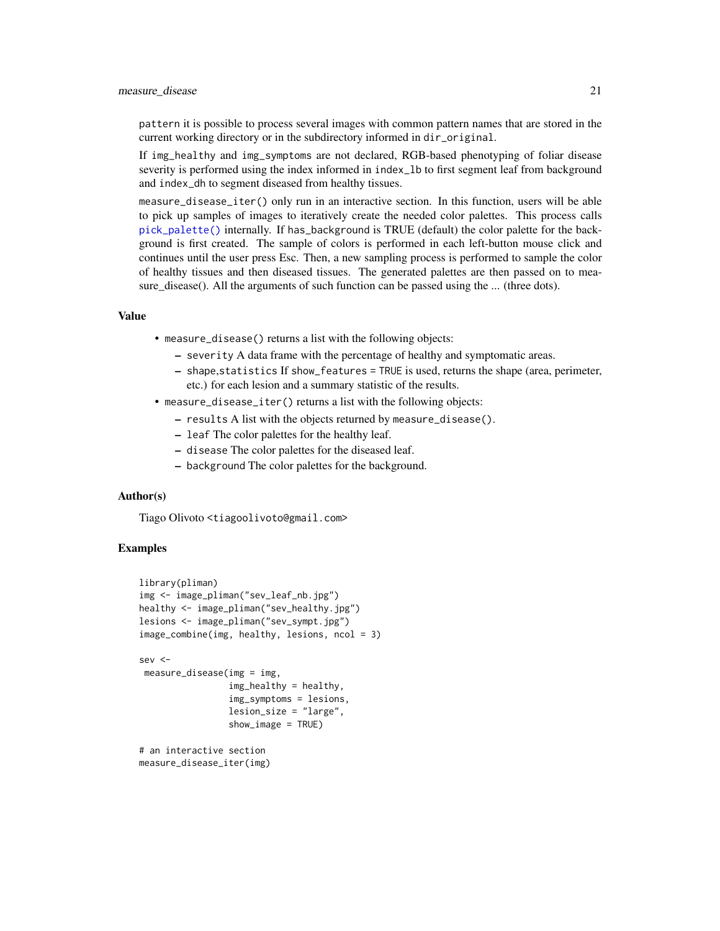#### <span id="page-20-0"></span>measure\_disease 21

pattern it is possible to process several images with common pattern names that are stored in the current working directory or in the subdirectory informed in dir\_original.

If img\_healthy and img\_symptoms are not declared, RGB-based phenotyping of foliar disease severity is performed using the index informed in index\_lb to first segment leaf from background and index\_dh to segment diseased from healthy tissues.

measure\_disease\_iter() only run in an interactive section. In this function, users will be able to pick up samples of images to iteratively create the needed color palettes. This process calls [pick\\_palette\(\)](#page-39-1) internally. If has\_background is TRUE (default) the color palette for the background is first created. The sample of colors is performed in each left-button mouse click and continues until the user press Esc. Then, a new sampling process is performed to sample the color of healthy tissues and then diseased tissues. The generated palettes are then passed on to measure\_disease(). All the arguments of such function can be passed using the ... (three dots).

#### Value

- measure\_disease() returns a list with the following objects:
	- severity A data frame with the percentage of healthy and symptomatic areas.
	- shape,statistics If show\_features = TRUE is used, returns the shape (area, perimeter, etc.) for each lesion and a summary statistic of the results.
- measure\_disease\_iter() returns a list with the following objects:
	- results A list with the objects returned by measure\_disease().
	- leaf The color palettes for the healthy leaf.
	- disease The color palettes for the diseased leaf.
	- background The color palettes for the background.

#### Author(s)

Tiago Olivoto <tiagoolivoto@gmail.com>

#### Examples

```
library(pliman)
img <- image_pliman("sev_leaf_nb.jpg")
healthy <- image_pliman("sev_healthy.jpg")
lesions <- image_pliman("sev_sympt.jpg")
image_combine(img, healthy, lesions, ncol = 3)
sev <-
measure_disease(img = img,
                 img_healthy = healthy,
                 img_symptoms = lesions,
                 lesion_size = "large",
                 show_image = TRUE)
# an interactive section
```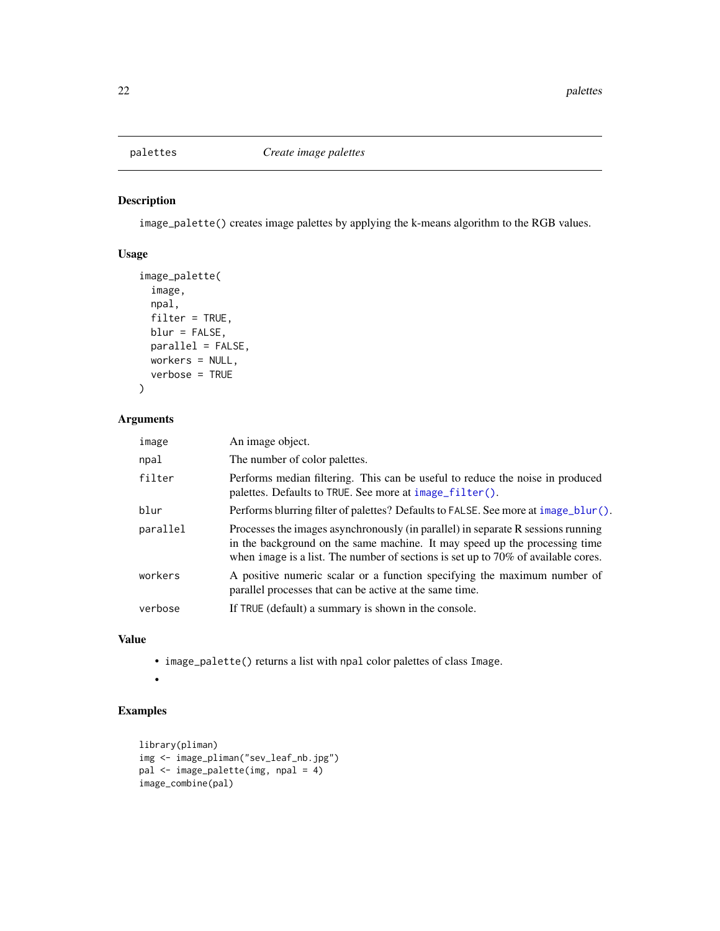# <span id="page-21-0"></span>Description

image\_palette() creates image palettes by applying the k-means algorithm to the RGB values.

# Usage

```
image_palette(
  image,
 npal,
 filter = TRUE,
 blur = FALSE,
 parallel = FALSE,
 workers = NULL,
 verbose = TRUE
)
```
# Arguments

| image    | An image object.                                                                                                                                                                                                                                       |
|----------|--------------------------------------------------------------------------------------------------------------------------------------------------------------------------------------------------------------------------------------------------------|
| npal     | The number of color palettes.                                                                                                                                                                                                                          |
| filter   | Performs median filtering. This can be useful to reduce the noise in produced<br>palettes. Defaults to TRUE. See more at image_filter().                                                                                                               |
| blur     | Performs blurring filter of palettes? Defaults to FALSE. See more at image_blur().                                                                                                                                                                     |
| parallel | Processes the images asynchronously (in parallel) in separate R sessions running<br>in the background on the same machine. It may speed up the processing time<br>when image is a list. The number of sections is set up to $70\%$ of available cores. |
| workers  | A positive numeric scalar or a function specifying the maximum number of<br>parallel processes that can be active at the same time.                                                                                                                    |
| verbose  | If TRUE (default) a summary is shown in the console.                                                                                                                                                                                                   |

# Value

• image\_palette() returns a list with npal color palettes of class Image.

•

# Examples

```
library(pliman)
img <- image_pliman("sev_leaf_nb.jpg")
pal <- image_palette(img, npal = 4)
image_combine(pal)
```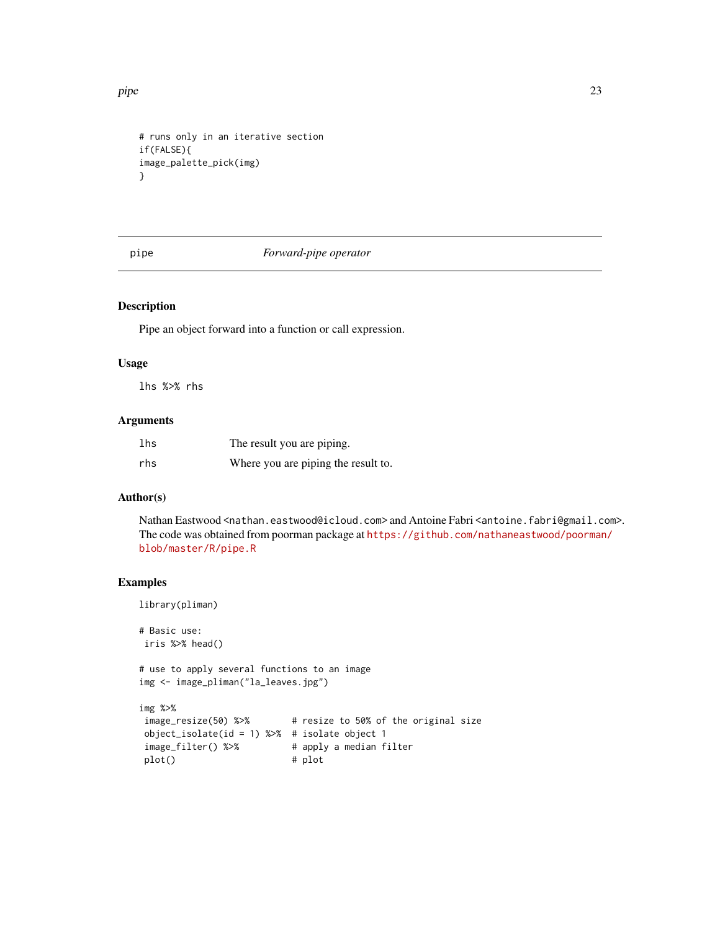<span id="page-22-0"></span>pipe 23

```
# runs only in an iterative section
if(FALSE){
image_palette_pick(img)
}
```
# pipe *Forward-pipe operator*

# Description

Pipe an object forward into a function or call expression.

#### Usage

lhs %>% rhs

# Arguments

| lhs | The result you are piping.          |
|-----|-------------------------------------|
| rhs | Where you are piping the result to. |

# Author(s)

Nathan Eastwood <nathan.eastwood@icloud.com> and Antoine Fabri <antoine.fabri@gmail.com>. The code was obtained from poorman package at [https://github.com/nathaneastwood/poorman](https://github.com/nathaneastwood/poorman/blob/master/R/pipe.R)/ [blob/master/R/pipe.R](https://github.com/nathaneastwood/poorman/blob/master/R/pipe.R)

# Examples

library(pliman)

# Basic use: iris %>% head()

# use to apply several functions to an image img <- image\_pliman("la\_leaves.jpg")

```
img %>%
image_resize(50) %>% # resize to 50% of the original size
object_isolate(id = 1) %>% # isolate object 1
image_filter() %>% # apply a median filter
plot() # plot
```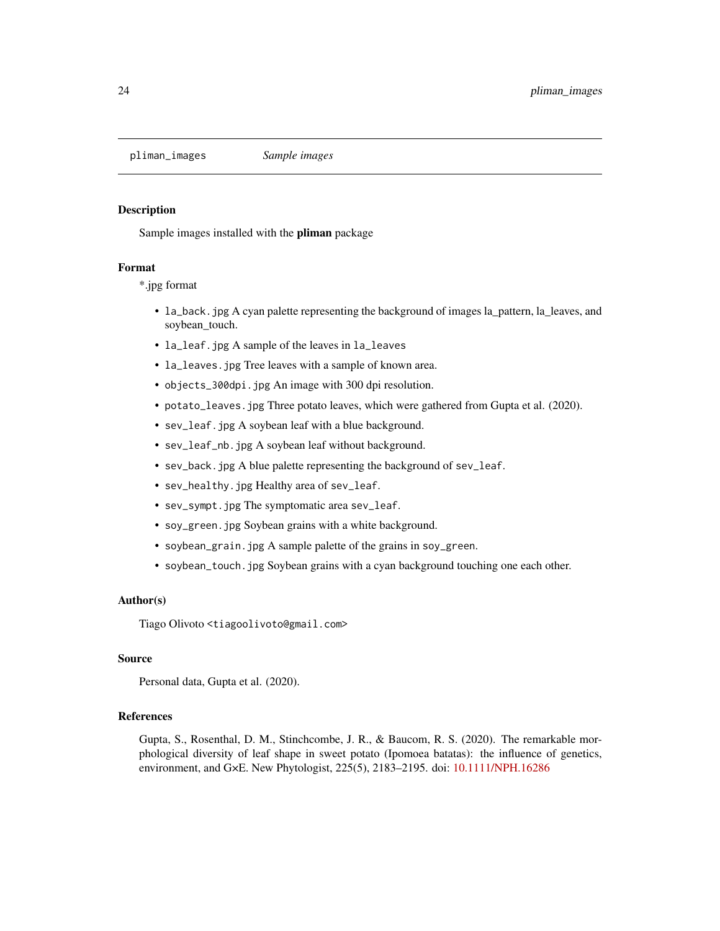<span id="page-23-0"></span>pliman\_images *Sample images*

#### **Description**

Sample images installed with the pliman package

#### Format

\*.jpg format

- la\_back.jpg A cyan palette representing the background of images la\_pattern, la\_leaves, and soybean\_touch.
- la\_leaf.jpg A sample of the leaves in la\_leaves
- la\_leaves.jpg Tree leaves with a sample of known area.
- objects\_300dpi.jpg An image with 300 dpi resolution.
- potato\_leaves.jpg Three potato leaves, which were gathered from Gupta et al. (2020).
- sev\_leaf.jpg A soybean leaf with a blue background.
- sev\_leaf\_nb.jpg A soybean leaf without background.
- sev\_back.jpg A blue palette representing the background of sev\_leaf.
- sev\_healthy.jpg Healthy area of sev\_leaf.
- sev\_sympt.jpg The symptomatic area sev\_leaf.
- soy\_green.jpg Soybean grains with a white background.
- soybean\_grain.jpg A sample palette of the grains in soy\_green.
- soybean\_touch.jpg Soybean grains with a cyan background touching one each other.

# Author(s)

Tiago Olivoto <tiagoolivoto@gmail.com>

# Source

Personal data, Gupta et al. (2020).

# References

Gupta, S., Rosenthal, D. M., Stinchcombe, J. R., & Baucom, R. S. (2020). The remarkable morphological diversity of leaf shape in sweet potato (Ipomoea batatas): the influence of genetics, environment, and G×E. New Phytologist, 225(5), 2183–2195. doi: [10.1111/NPH.16286](https://doi.org/10.1111/NPH.16286)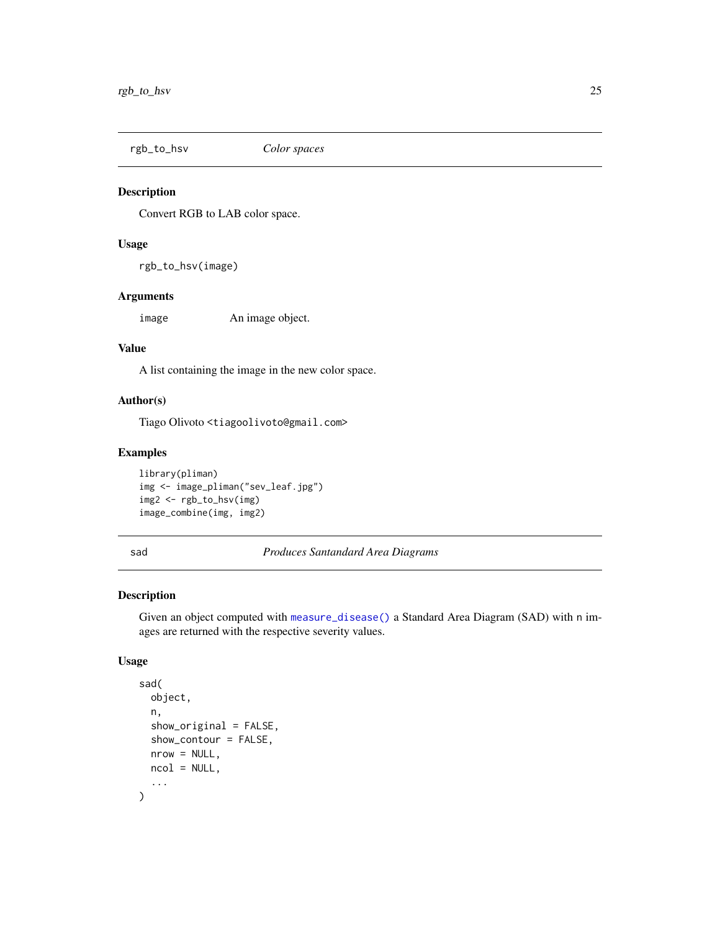<span id="page-24-0"></span>rgb\_to\_hsv *Color spaces*

#### Description

Convert RGB to LAB color space.

#### Usage

rgb\_to\_hsv(image)

# Arguments

image An image object.

#### Value

A list containing the image in the new color space.

# Author(s)

Tiago Olivoto <tiagoolivoto@gmail.com>

# Examples

```
library(pliman)
img <- image_pliman("sev_leaf.jpg")
img2 <- rgb_to_hsv(img)
image_combine(img, img2)
```
<span id="page-24-1"></span>sad *Produces Santandard Area Diagrams*

# Description

Given an object computed with [measure\\_disease\(\)](#page-16-1) a Standard Area Diagram (SAD) with n images are returned with the respective severity values.

```
sad(
  object,
  n,
  show_original = FALSE,
  show_contour = FALSE,
  nrow = NULL,
 ncol = NULL,...
\mathcal{E}
```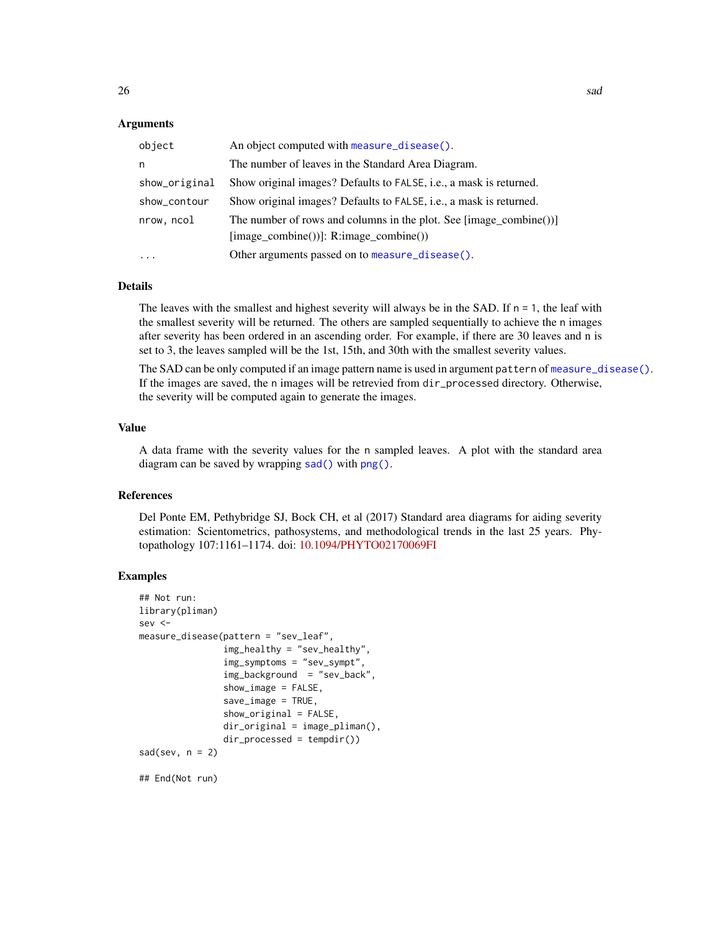<span id="page-25-0"></span>

| object        | An object computed with measure_disease().                                 |
|---------------|----------------------------------------------------------------------------|
| n             | The number of leaves in the Standard Area Diagram.                         |
| show_original | Show original images? Defaults to FALSE, i.e., a mask is returned.         |
| show_contour  | Show original images? Defaults to FALSE, <i>i.e.</i> , a mask is returned. |
| nrow, ncol    | The number of rows and columns in the plot. See [image_combine())]         |
|               | $[image\_combine()$ ]: R:image_combine())                                  |
|               | Other arguments passed on to measure_disease().                            |

#### Details

The leaves with the smallest and highest severity will always be in the SAD. If  $n = 1$ , the leaf with the smallest severity will be returned. The others are sampled sequentially to achieve the n images after severity has been ordered in an ascending order. For example, if there are 30 leaves and n is set to 3, the leaves sampled will be the 1st, 15th, and 30th with the smallest severity values.

The SAD can be only computed if an image pattern name is used in argument pattern of [measure\\_disease\(\)](#page-16-1). If the images are saved, the n images will be retrevied from dir\_processed directory. Otherwise, the severity will be computed again to generate the images.

#### Value

A data frame with the severity values for the n sampled leaves. A plot with the standard area diagram can be saved by wrapping [sad\(\)](#page-24-1) with [png\(\)](#page-0-0).

# References

Del Ponte EM, Pethybridge SJ, Bock CH, et al (2017) Standard area diagrams for aiding severity estimation: Scientometrics, pathosystems, and methodological trends in the last 25 years. Phytopathology 107:1161–1174. doi: [10.1094/PHYTO02170069FI](https://doi.org/10.1094/PHYTO-02-17-0069-FI)

#### Examples

```
## Not run:
library(pliman)
sev <-
measure_disease(pattern = "sev_leaf",
                img_healthy = "sev_healthy",
                img_symptoms = "sev_sympt",
                img_background = "sev_back",
                show_image = FALSE,
                save_image = TRUE,
                show_original = FALSE,
                dir\_original = image\_pliman(),
                dir_processed = tempdir())
sad(sev, n = 2)
```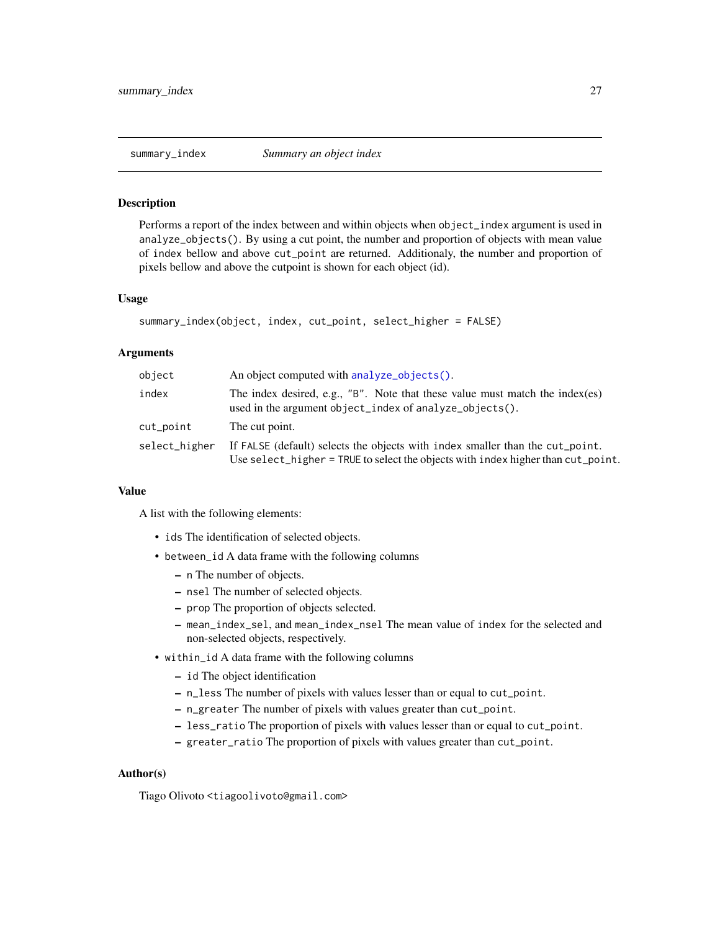#### <span id="page-26-0"></span>Description

Performs a report of the index between and within objects when object\_index argument is used in analyze\_objects(). By using a cut point, the number and proportion of objects with mean value of index bellow and above cut\_point are returned. Additionaly, the number and proportion of pixels bellow and above the cutpoint is shown for each object (id).

#### Usage

```
summary_index(object, index, cut_point, select_higher = FALSE)
```
#### Arguments

| object        | An object computed with analyze_objects().                                                                                                                        |
|---------------|-------------------------------------------------------------------------------------------------------------------------------------------------------------------|
| index         | The index desired, e.g., "B". Note that these value must match the index(es)<br>used in the argument object_index of analyze_objects().                           |
| cut_point     | The cut point.                                                                                                                                                    |
| select_higher | If FALSE (default) selects the objects with index smaller than the cut_point.<br>Use select_higher = TRUE to select the objects with index higher than cut_point. |

# Value

A list with the following elements:

- ids The identification of selected objects.
- between\_id A data frame with the following columns
	- n The number of objects.
	- nsel The number of selected objects.
	- prop The proportion of objects selected.
	- mean\_index\_sel, and mean\_index\_nsel The mean value of index for the selected and non-selected objects, respectively.
- within\_id A data frame with the following columns
	- id The object identification
	- n\_less The number of pixels with values lesser than or equal to cut\_point.
	- n\_greater The number of pixels with values greater than cut\_point.
	- less\_ratio The proportion of pixels with values lesser than or equal to cut\_point.
	- greater\_ratio The proportion of pixels with values greater than cut\_point.

#### Author(s)

Tiago Olivoto <tiagoolivoto@gmail.com>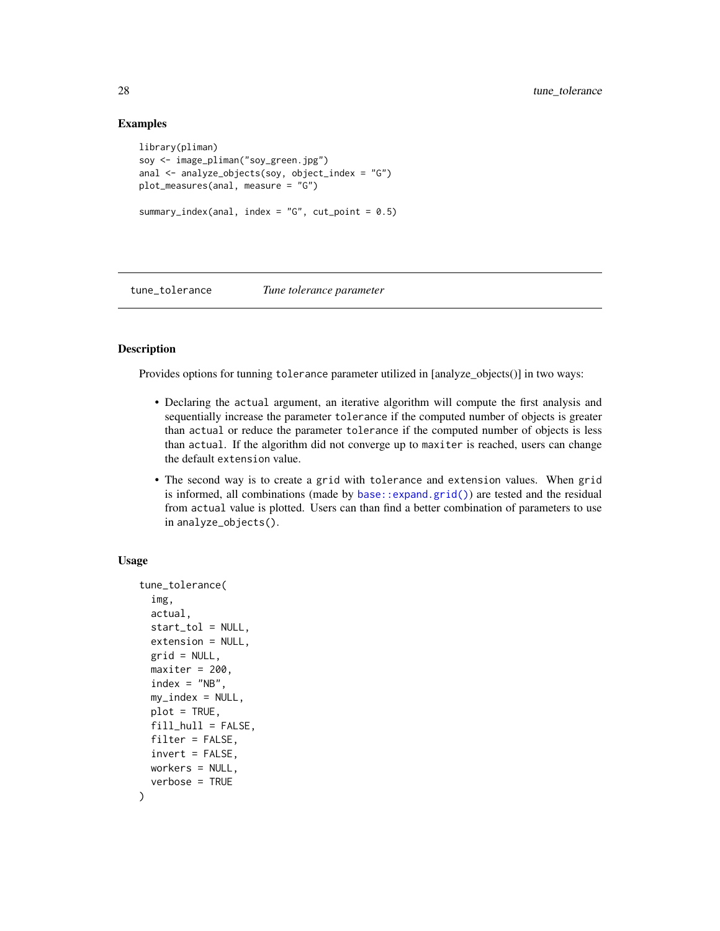#### Examples

```
library(pliman)
soy <- image_pliman("soy_green.jpg")
anal <- analyze_objects(soy, object_index = "G")
plot_measures(anal, measure = "G")
summary_index(anal, index = "G", cut\_point = 0.5)
```
tune\_tolerance *Tune tolerance parameter*

#### Description

Provides options for tunning tolerance parameter utilized in [analyze\_objects()] in two ways:

- Declaring the actual argument, an iterative algorithm will compute the first analysis and sequentially increase the parameter tolerance if the computed number of objects is greater than actual or reduce the parameter tolerance if the computed number of objects is less than actual. If the algorithm did not converge up to maxiter is reached, users can change the default extension value.
- The second way is to create a grid with tolerance and extension values. When grid is informed, all combinations (made by [base::expand.grid\(\)](#page-0-0)) are tested and the residual from actual value is plotted. Users can than find a better combination of parameters to use in analyze\_objects().

```
tune_tolerance(
  img,
  actual,
 start_tol = NULL,
 extension = NULL,
 grid = NULL,
 maxiter = 200,
  index = "NB",my_index = NULL,plot = TRUE,
 fill = FALSE,
 filter = FALSE,
 invert = FALSE,
 workers = NULL,
  verbose = TRUE
)
```
<span id="page-27-0"></span>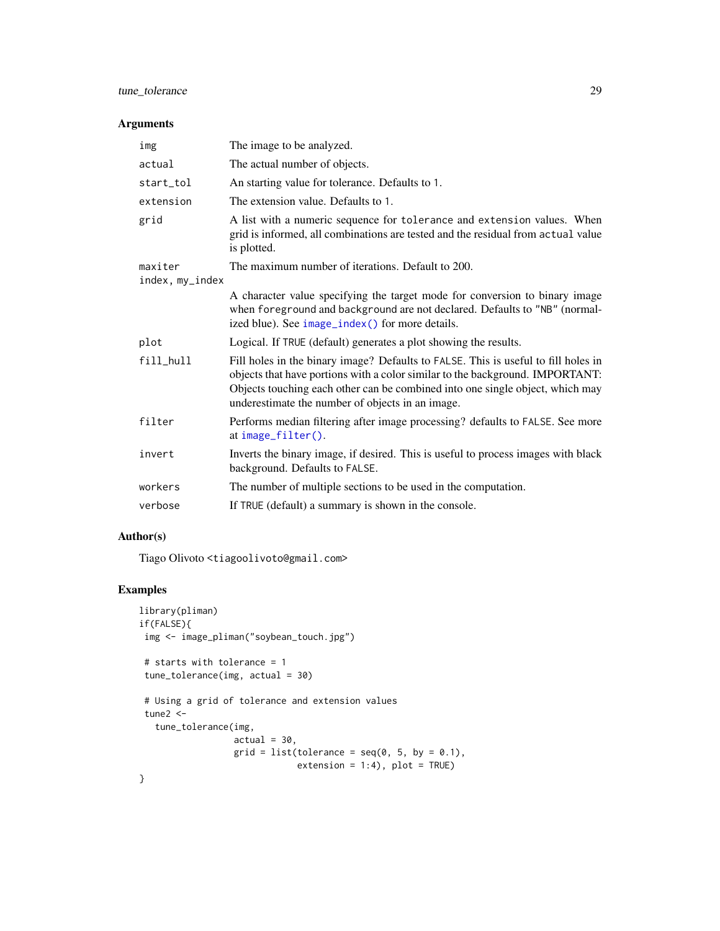# <span id="page-28-0"></span>tune\_tolerance 29

# Arguments

| img             | The image to be analyzed.                                                                                                                                                                                                                                                                                |
|-----------------|----------------------------------------------------------------------------------------------------------------------------------------------------------------------------------------------------------------------------------------------------------------------------------------------------------|
| actual          | The actual number of objects.                                                                                                                                                                                                                                                                            |
| start_tol       | An starting value for tolerance. Defaults to 1.                                                                                                                                                                                                                                                          |
| extension       | The extension value. Defaults to 1.                                                                                                                                                                                                                                                                      |
| grid            | A list with a numeric sequence for tolerance and extension values. When<br>grid is informed, all combinations are tested and the residual from actual value<br>is plotted.                                                                                                                               |
| maxiter         | The maximum number of iterations. Default to 200.                                                                                                                                                                                                                                                        |
| index, my_index |                                                                                                                                                                                                                                                                                                          |
|                 | A character value specifying the target mode for conversion to binary image<br>when foreground and background are not declared. Defaults to "NB" (normal-<br>ized blue). See image_index() for more details.                                                                                             |
| plot            | Logical. If TRUE (default) generates a plot showing the results.                                                                                                                                                                                                                                         |
| $fill\_hull$    | Fill holes in the binary image? Defaults to FALSE. This is useful to fill holes in<br>objects that have portions with a color similar to the background. IMPORTANT:<br>Objects touching each other can be combined into one single object, which may<br>underestimate the number of objects in an image. |
| filter          | Performs median filtering after image processing? defaults to FALSE. See more<br>at $image_filter()$ .                                                                                                                                                                                                   |
| invert          | Inverts the binary image, if desired. This is useful to process images with black<br>background. Defaults to FALSE.                                                                                                                                                                                      |
| workers         | The number of multiple sections to be used in the computation.                                                                                                                                                                                                                                           |
| verbose         | If TRUE (default) a summary is shown in the console.                                                                                                                                                                                                                                                     |

# Author(s)

Tiago Olivoto <tiagoolivoto@gmail.com>

# Examples

```
library(pliman)
if(FALSE){
img <- image_pliman("soybean_touch.jpg")
# starts with tolerance = 1
tune_tolerance(img, actual = 30)
# Using a grid of tolerance and extension values
tune2 <-
  tune_tolerance(img,
                 actual = 30,grid = list(tolerance = seq(0, 5, by = 0.1),extension = 1:4, plot = TRUE)
}
```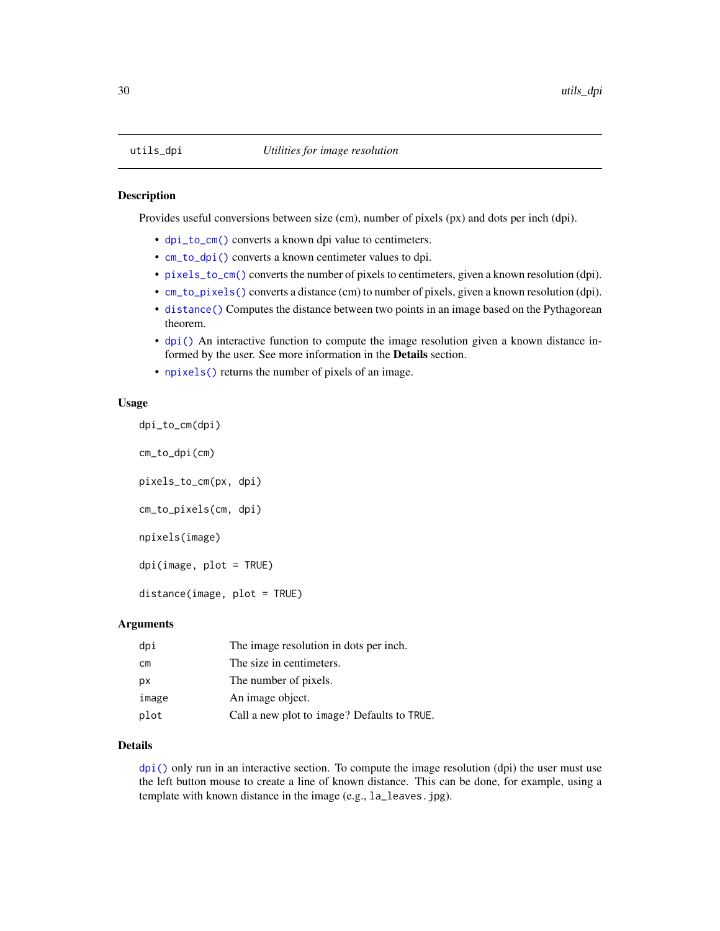<span id="page-29-0"></span>

#### <span id="page-29-1"></span>Description

Provides useful conversions between size (cm), number of pixels (px) and dots per inch (dpi).

- [dpi\\_to\\_cm\(\)](#page-29-1) converts a known dpi value to centimeters.
- [cm\\_to\\_dpi\(\)](#page-29-1) converts a known centimeter values to dpi.
- [pixels\\_to\\_cm\(\)](#page-29-1) converts the number of pixels to centimeters, given a known resolution (dpi).
- [cm\\_to\\_pixels\(\)](#page-29-1) converts a distance (cm) to number of pixels, given a known resolution (dpi).
- [distance\(\)](#page-29-1) Computes the distance between two points in an image based on the Pythagorean theorem.
- [dpi\(\)](#page-29-1) An interactive function to compute the image resolution given a known distance informed by the user. See more information in the Details section.
- [npixels\(\)](#page-29-1) returns the number of pixels of an image.

#### Usage

```
dpi_to_cm(dpi)
cm_to_dpi(cm)
pixels_to_cm(px, dpi)
cm_to_pixels(cm, dpi)
npixels(image)
dpi(image, plot = TRUE)
distance(image, plot = TRUE)
```
#### Arguments

| dpi   | The image resolution in dots per inch.      |
|-------|---------------------------------------------|
| сm    | The size in centimeters.                    |
| рx    | The number of pixels.                       |
| image | An image object.                            |
| plot  | Call a new plot to image? Defaults to TRUE. |

#### Details

 $dpi()$  only run in an interactive section. To compute the image resolution (dpi) the user must use the left button mouse to create a line of known distance. This can be done, for example, using a template with known distance in the image (e.g., la\_leaves.jpg).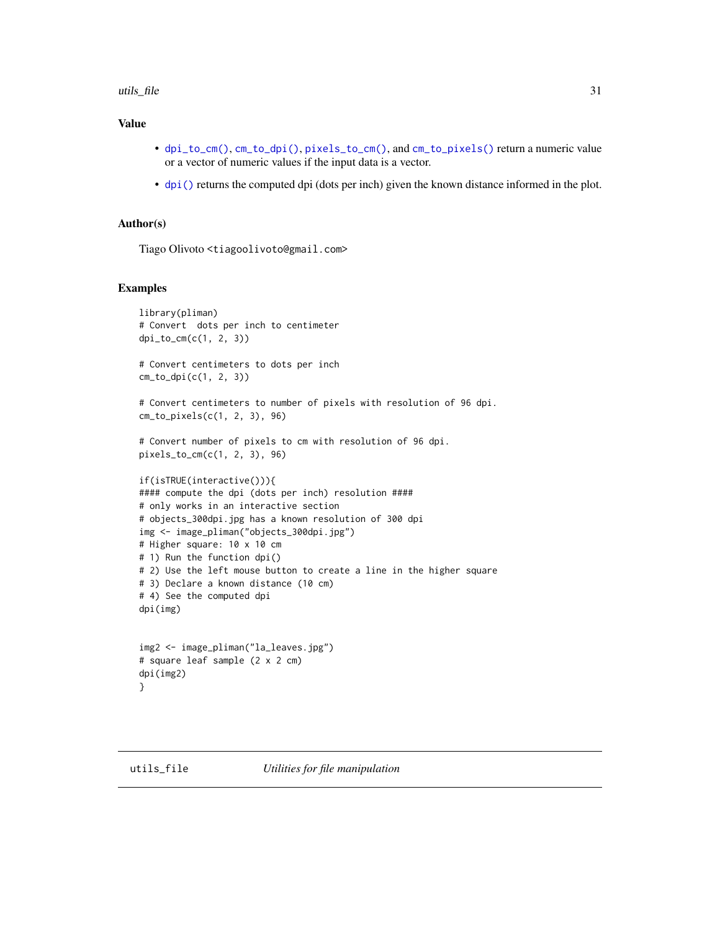#### <span id="page-30-0"></span>utils\_file  $\qquad \qquad$  31

# Value

- [dpi\\_to\\_cm\(\)](#page-29-1), [cm\\_to\\_dpi\(\)](#page-29-1), [pixels\\_to\\_cm\(\)](#page-29-1), and [cm\\_to\\_pixels\(\)](#page-29-1) return a numeric value or a vector of numeric values if the input data is a vector.
- [dpi\(\)](#page-29-1) returns the computed dpi (dots per inch) given the known distance informed in the plot.

#### Author(s)

Tiago Olivoto <tiagoolivoto@gmail.com>

#### Examples

```
library(pliman)
# Convert dots per inch to centimeter
dpi_to_cm(c(1, 2, 3))
```
# Convert centimeters to dots per inch cm\_to\_dpi(c(1, 2, 3))

# Convert centimeters to number of pixels with resolution of 96 dpi. cm\_to\_pixels(c(1, 2, 3), 96)

```
# Convert number of pixels to cm with resolution of 96 dpi.
pixels_to_cm(c(1, 2, 3), 96)
```

```
if(isTRUE(interactive())){
#### compute the dpi (dots per inch) resolution ####
# only works in an interactive section
# objects_300dpi.jpg has a known resolution of 300 dpi
img <- image_pliman("objects_300dpi.jpg")
# Higher square: 10 x 10 cm
# 1) Run the function dpi()
# 2) Use the left mouse button to create a line in the higher square
# 3) Declare a known distance (10 cm)
# 4) See the computed dpi
dpi(img)
```

```
img2 <- image_pliman("la_leaves.jpg")
# square leaf sample (2 x 2 cm)
dpi(img2)
}
```
<span id="page-30-1"></span>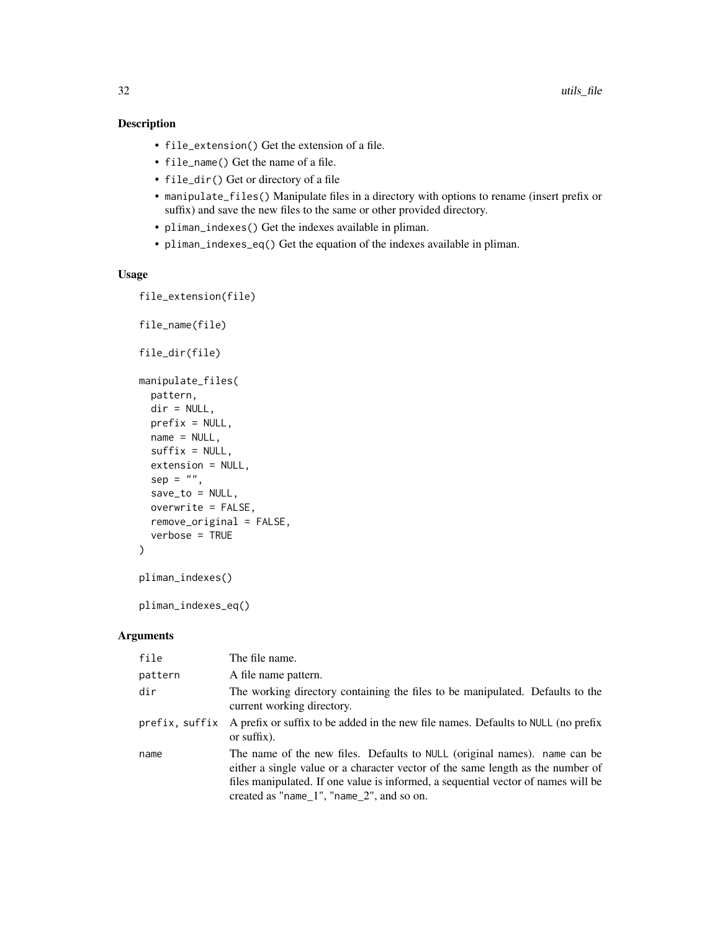# Description

- file\_extension() Get the extension of a file.
- file\_name() Get the name of a file.
- file\_dir() Get or directory of a file
- manipulate\_files() Manipulate files in a directory with options to rename (insert prefix or suffix) and save the new files to the same or other provided directory.
- pliman\_indexes() Get the indexes available in pliman.
- pliman\_indexes\_eq() Get the equation of the indexes available in pliman.

### Usage

```
file_extension(file)
```

```
file_name(file)
file_dir(file)
manipulate_files(
 pattern,
 dir = NULL,prefix = NULL,
  name = NULL,suffix = NULL,extension = NULL,
  sep = "",save\_to = NULL,overwrite = FALSE,
  remove_original = FALSE,
  verbose = TRUE
)
```
pliman\_indexes()

pliman\_indexes\_eq()

# Arguments

| file           | The file name.                                                                                                                                                                                                                                                                                       |
|----------------|------------------------------------------------------------------------------------------------------------------------------------------------------------------------------------------------------------------------------------------------------------------------------------------------------|
| pattern        | A file name pattern.                                                                                                                                                                                                                                                                                 |
| dir            | The working directory containing the files to be manipulated. Defaults to the<br>current working directory.                                                                                                                                                                                          |
| prefix, suffix | A prefix or suffix to be added in the new file names. Defaults to NULL (no prefix<br>or suffix).                                                                                                                                                                                                     |
| name           | The name of the new files. Defaults to NULL (original names). name can be<br>either a single value or a character vector of the same length as the number of<br>files manipulated. If one value is informed, a sequential vector of names will be<br>created as "name $1$ ", "name $2$ ", and so on. |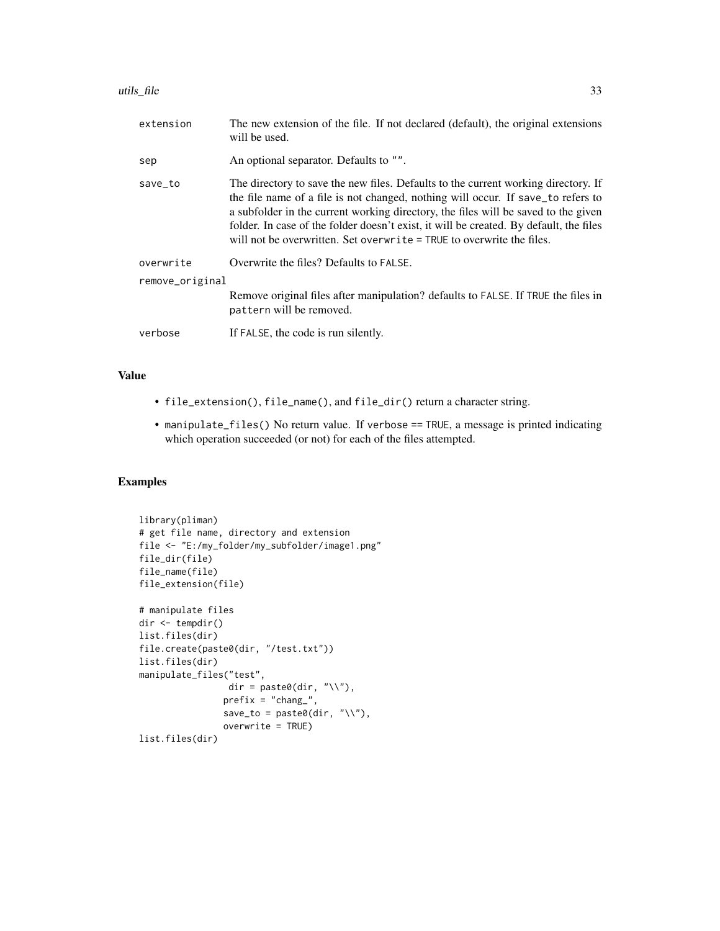| extension       | The new extension of the file. If not declared (default), the original extensions<br>will be used.                                                                                                                                                                                                                                                                                                                              |  |
|-----------------|---------------------------------------------------------------------------------------------------------------------------------------------------------------------------------------------------------------------------------------------------------------------------------------------------------------------------------------------------------------------------------------------------------------------------------|--|
| sep             | An optional separator. Defaults to "".                                                                                                                                                                                                                                                                                                                                                                                          |  |
| save_to         | The directory to save the new files. Defaults to the current working directory. If<br>the file name of a file is not changed, nothing will occur. If save_to refers to<br>a subfolder in the current working directory, the files will be saved to the given<br>folder. In case of the folder doesn't exist, it will be created. By default, the files<br>will not be overwritten. Set overwrite = TRUE to overwrite the files. |  |
| overwrite       | Overwrite the files? Defaults to FALSE.                                                                                                                                                                                                                                                                                                                                                                                         |  |
| remove_original |                                                                                                                                                                                                                                                                                                                                                                                                                                 |  |
|                 | Remove original files after manipulation? defaults to FALSE. If TRUE the files in<br>pattern will be removed.                                                                                                                                                                                                                                                                                                                   |  |
| verbose         | If FALSE, the code is run silently.                                                                                                                                                                                                                                                                                                                                                                                             |  |

# Value

- file\_extension(), file\_name(), and file\_dir() return a character string.
- manipulate\_files() No return value. If verbose == TRUE, a message is printed indicating which operation succeeded (or not) for each of the files attempted.

# Examples

```
library(pliman)
# get file name, directory and extension
file <- "E:/my_folder/my_subfolder/image1.png"
file_dir(file)
file_name(file)
file_extension(file)
# manipulate files
dir <- tempdir()
list.files(dir)
file.create(paste0(dir, "/test.txt"))
list.files(dir)
manipulate_files("test",
                 dir = paste0(dir, "\wedge"),
                prefix = "change",save_to = paste0(dir, "\wedge"),
                overwrite = TRUE)
list.files(dir)
```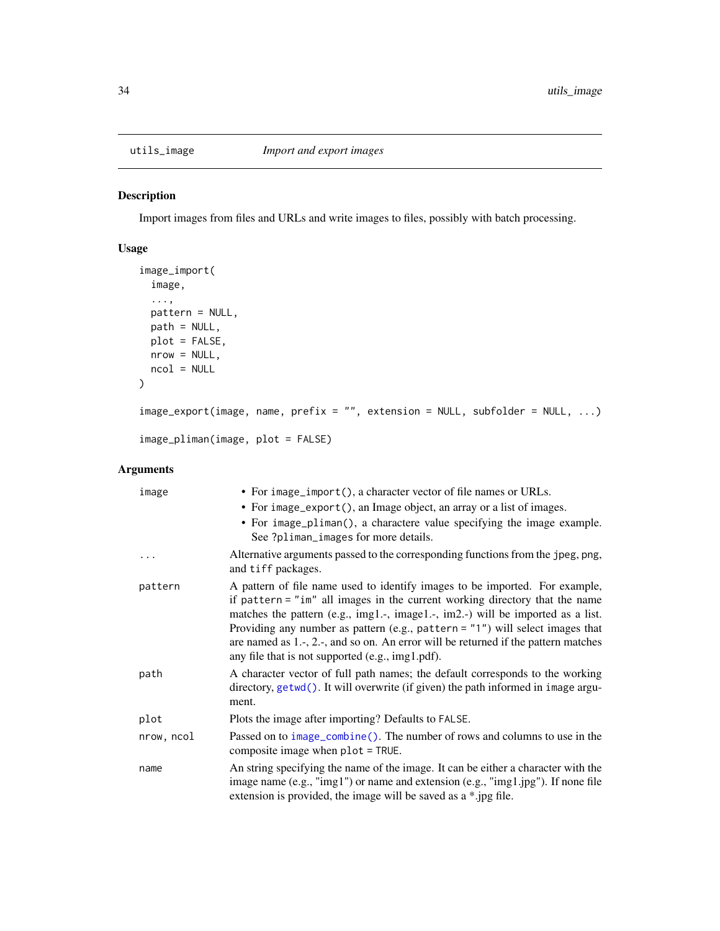<span id="page-33-0"></span>

#### Description

Import images from files and URLs and write images to files, possibly with batch processing.

# Usage

```
image_import(
  image,
  ...,
 pattern = NULL,
 path = NULL,
 plot = FALSE,
 nrow = NULL,
 ncol = NULL
)
image_export(image, name, prefix = "", extension = NULL, subfolder = NULL, ...)
image_pliman(image, plot = FALSE)
```
# Arguments

| image      | • For image_import(), a character vector of file names or URLs.                                                                                                                                                                                                                                                                                                                                                                                                               |
|------------|-------------------------------------------------------------------------------------------------------------------------------------------------------------------------------------------------------------------------------------------------------------------------------------------------------------------------------------------------------------------------------------------------------------------------------------------------------------------------------|
|            | • For image_export(), an Image object, an array or a list of images.                                                                                                                                                                                                                                                                                                                                                                                                          |
|            | • For image_pliman(), a charactere value specifying the image example.<br>See ?pliman_images for more details.                                                                                                                                                                                                                                                                                                                                                                |
| .          | Alternative arguments passed to the corresponding functions from the jpeg, png,<br>and tiff packages.                                                                                                                                                                                                                                                                                                                                                                         |
| pattern    | A pattern of file name used to identify images to be imported. For example,<br>if pattern = $"im"$ all images in the current working directory that the name<br>matches the pattern (e.g., img1.-, image1.-, im2.-) will be imported as a list.<br>Providing any number as pattern (e.g., pattern = $"1"$ ) will select images that<br>are named as 1.-, 2.-, and so on. An error will be returned if the pattern matches<br>any file that is not supported (e.g., img1.pdf). |
| path       | A character vector of full path names; the default corresponds to the working<br>directory, getwd(). It will overwrite (if given) the path informed in image argu-<br>ment.                                                                                                                                                                                                                                                                                                   |
| plot       | Plots the image after importing? Defaults to FALSE.                                                                                                                                                                                                                                                                                                                                                                                                                           |
| nrow, ncol | Passed on to image_combine(). The number of rows and columns to use in the<br>composite image when $plot = TRUE$ .                                                                                                                                                                                                                                                                                                                                                            |
| name       | An string specifying the name of the image. It can be either a character with the<br>image name (e.g., "img1") or name and extension (e.g., "img1.jpg"). If none file<br>extension is provided, the image will be saved as a *.jpg file.                                                                                                                                                                                                                                      |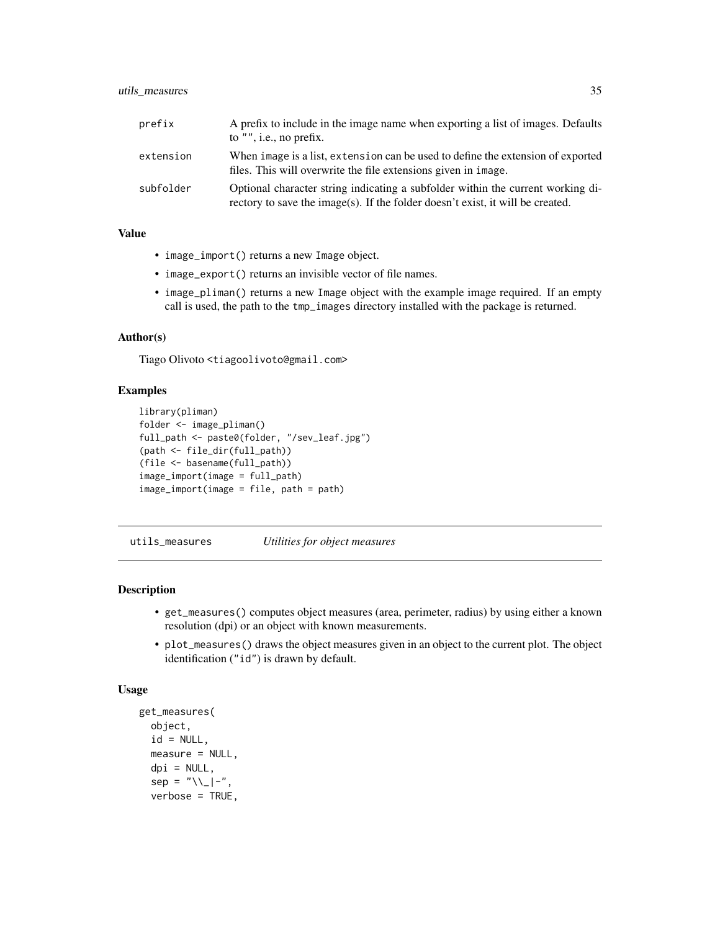# <span id="page-34-0"></span>utils\_measures 35

| prefix    | A prefix to include in the image name when exporting a list of images. Defaults<br>to $"$ ", i.e., no prefix.                                                     |
|-----------|-------------------------------------------------------------------------------------------------------------------------------------------------------------------|
| extension | When image is a list, extension can be used to define the extension of exported<br>files. This will overwrite the file extensions given in image.                 |
| subfolder | Optional character string indicating a subfolder within the current working di-<br>rectory to save the image(s). If the folder doesn't exist, it will be created. |

# Value

- image\_import() returns a new Image object.
- image\_export() returns an invisible vector of file names.
- image\_pliman() returns a new Image object with the example image required. If an empty call is used, the path to the tmp\_images directory installed with the package is returned.

#### Author(s)

Tiago Olivoto <tiagoolivoto@gmail.com>

#### Examples

```
library(pliman)
folder <- image_pliman()
full_path <- paste0(folder, "/sev_leaf.jpg")
(path <- file_dir(full_path))
(file <- basename(full_path))
image_import(image = full_path)
image_import(image = file, path = path)
```
utils\_measures *Utilities for object measures*

# Description

- get\_measures() computes object measures (area, perimeter, radius) by using either a known resolution (dpi) or an object with known measurements.
- plot\_measures() draws the object measures given in an object to the current plot. The object identification ("id") is drawn by default.

```
get_measures(
  object,
  id = NULL,measure = NULL,
  dpi = NULL,sep = "\\ \\\angle \ ] -".verbose = TRUE,
```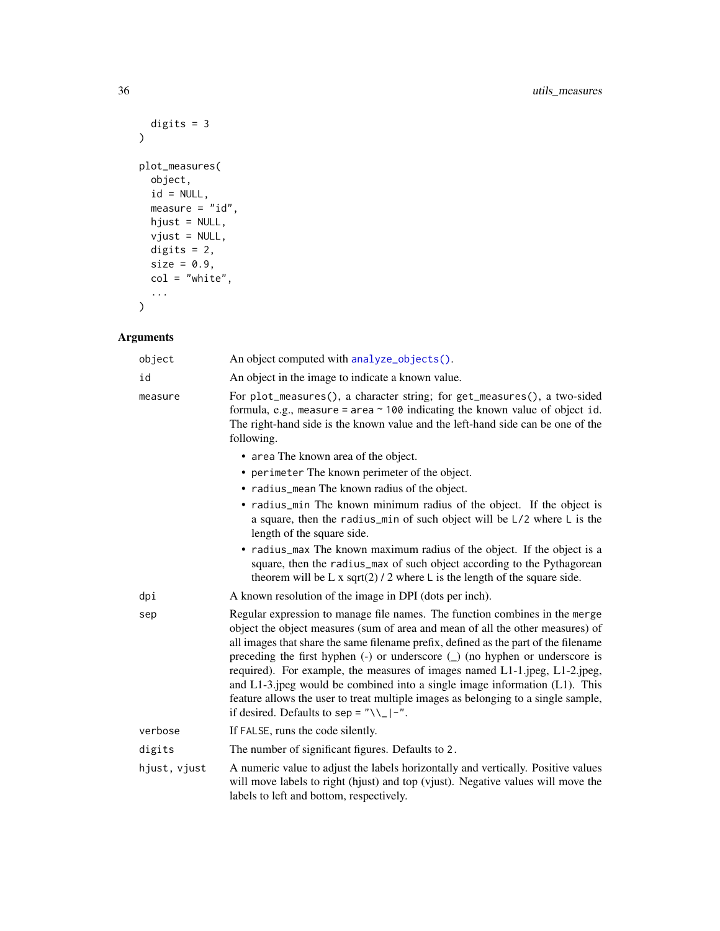```
digits = 3\mathcal{L}plot_measures(
  object,
  id = NULL,measure = "id",hjust = NULL,
  vjust = NULL,
  digits = 2,
  size = 0.9,
  col = "white",...
\mathcal{L}
```
# Arguments

| object       | An object computed with analyze_objects().                                                                                                                                                                                                                                                                                                                                                                                                                                                                                                                                                                                                 |
|--------------|--------------------------------------------------------------------------------------------------------------------------------------------------------------------------------------------------------------------------------------------------------------------------------------------------------------------------------------------------------------------------------------------------------------------------------------------------------------------------------------------------------------------------------------------------------------------------------------------------------------------------------------------|
| id           | An object in the image to indicate a known value.                                                                                                                                                                                                                                                                                                                                                                                                                                                                                                                                                                                          |
| measure      | For plot_measures(), a character string; for get_measures(), a two-sided<br>formula, e.g., measure = area $\sim$ 100 indicating the known value of object id.<br>The right-hand side is the known value and the left-hand side can be one of the<br>following.                                                                                                                                                                                                                                                                                                                                                                             |
|              | • area The known area of the object.                                                                                                                                                                                                                                                                                                                                                                                                                                                                                                                                                                                                       |
|              | • perimeter The known perimeter of the object.                                                                                                                                                                                                                                                                                                                                                                                                                                                                                                                                                                                             |
|              | • radius_mean The known radius of the object.                                                                                                                                                                                                                                                                                                                                                                                                                                                                                                                                                                                              |
|              | • radius_min The known minimum radius of the object. If the object is<br>a square, then the radius_min of such object will be L/2 where L is the<br>length of the square side.                                                                                                                                                                                                                                                                                                                                                                                                                                                             |
|              | • radius_max The known maximum radius of the object. If the object is a<br>square, then the radius_max of such object according to the Pythagorean<br>theorem will be L x sqrt(2) / 2 where L is the length of the square side.                                                                                                                                                                                                                                                                                                                                                                                                            |
| dpi          | A known resolution of the image in DPI (dots per inch).                                                                                                                                                                                                                                                                                                                                                                                                                                                                                                                                                                                    |
| sep          | Regular expression to manage file names. The function combines in the merge<br>object the object measures (sum of area and mean of all the other measures) of<br>all images that share the same filename prefix, defined as the part of the filename<br>preceding the first hyphen $(-)$ or underscore $($ $)$ (no hyphen or underscore is<br>required). For example, the measures of images named L1-1.jpeg, L1-2.jpeg,<br>and $L1-3$ ipeg would be combined into a single image information $(L1)$ . This<br>feature allows the user to treat multiple images as belonging to a single sample,<br>if desired. Defaults to sep = "\\_ -". |
| verbose      | If FALSE, runs the code silently.                                                                                                                                                                                                                                                                                                                                                                                                                                                                                                                                                                                                          |
| digits       | The number of significant figures. Defaults to 2.                                                                                                                                                                                                                                                                                                                                                                                                                                                                                                                                                                                          |
| hjust, vjust | A numeric value to adjust the labels horizontally and vertically. Positive values<br>will move labels to right (hjust) and top (vjust). Negative values will move the<br>labels to left and bottom, respectively.                                                                                                                                                                                                                                                                                                                                                                                                                          |

<span id="page-35-0"></span>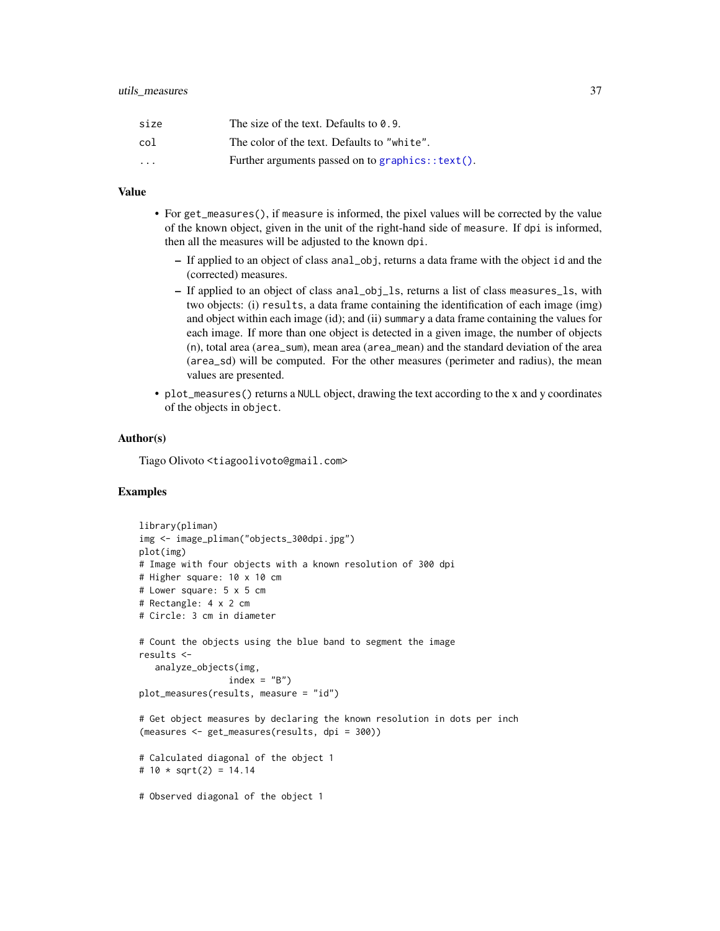<span id="page-36-0"></span>

| size                    | The size of the text. Defaults to 0.9.           |
|-------------------------|--------------------------------------------------|
| col                     | The color of the text. Defaults to "white".      |
| $\cdot$ $\cdot$ $\cdot$ | Further arguments passed on to graphics::text(). |

#### Value

- For get\_measures(), if measure is informed, the pixel values will be corrected by the value of the known object, given in the unit of the right-hand side of measure. If dpi is informed, then all the measures will be adjusted to the known dpi.
	- If applied to an object of class anal\_obj, returns a data frame with the object id and the (corrected) measures.
	- If applied to an object of class anal\_obj\_ls, returns a list of class measures\_ls, with two objects: (i) results, a data frame containing the identification of each image (img) and object within each image (id); and (ii) summary a data frame containing the values for each image. If more than one object is detected in a given image, the number of objects (n), total area (area\_sum), mean area (area\_mean) and the standard deviation of the area (area\_sd) will be computed. For the other measures (perimeter and radius), the mean values are presented.
- plot\_measures() returns a NULL object, drawing the text according to the x and y coordinates of the objects in object.

#### Author(s)

Tiago Olivoto <tiagoolivoto@gmail.com>

#### Examples

```
library(pliman)
img <- image_pliman("objects_300dpi.jpg")
plot(img)
# Image with four objects with a known resolution of 300 dpi
# Higher square: 10 x 10 cm
# Lower square: 5 x 5 cm
# Rectangle: 4 x 2 cm
# Circle: 3 cm in diameter
# Count the objects using the blue band to segment the image
results <-
   analyze_objects(img,
                 index = "B")plot_measures(results, measure = "id")
# Get object measures by declaring the known resolution in dots per inch
(measures <- get_measures(results, dpi = 300))
# Calculated diagonal of the object 1
# 10 * sqrt(2) = 14.14# Observed diagonal of the object 1
```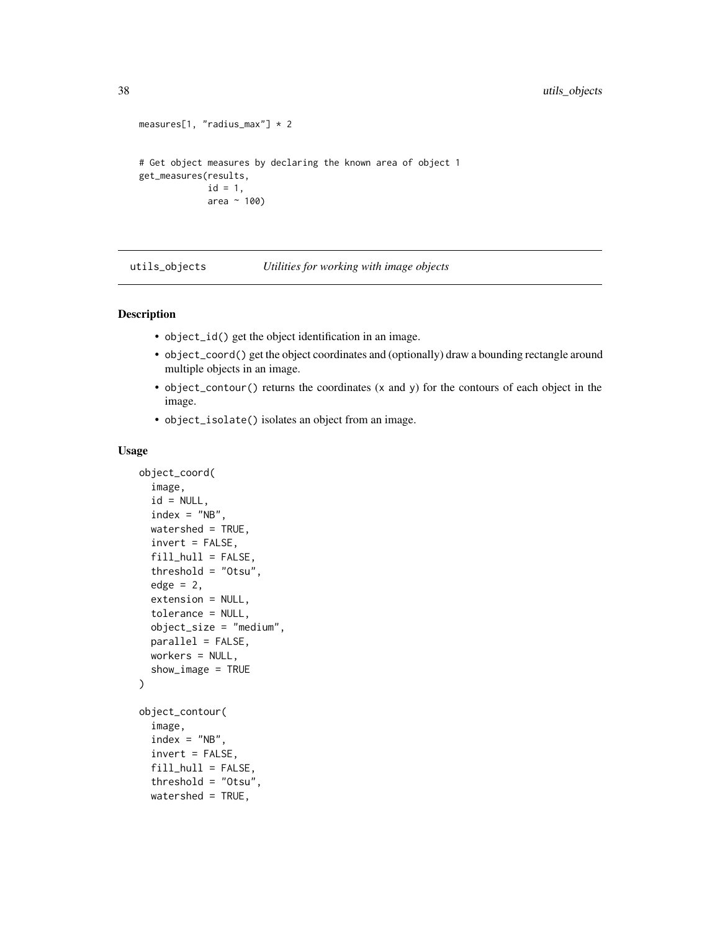```
measures[1, "radius_max"] * 2
# Get object measures by declaring the known area of object 1
get_measures(results,
            id = 1,area ~ 100)
```
utils\_objects *Utilities for working with image objects*

#### <span id="page-37-1"></span>Description

- object\_id() get the object identification in an image.
- object\_coord() get the object coordinates and (optionally) draw a bounding rectangle around multiple objects in an image.
- object\_contour() returns the coordinates (x and y) for the contours of each object in the image.
- object\_isolate() isolates an object from an image.

```
object_coord(
  image,
  id = NULL,index = "NB",watershed = TRUE,
  invert = FALSE,fill\_hull = FALSE,threshold = "Otsu",
  edge = 2,
  extension = NULL,
  tolerance = NULL,
  object_size = "medium",
  parallel = FALSE,
 workers = NULL,
  show_image = TRUE
)
object_contour(
  image,
  index = "NB",invert = FALSE,
  fill\_hull = FALSE,threshold = "Otsu",
  watershed = TRUE,
```
<span id="page-37-0"></span>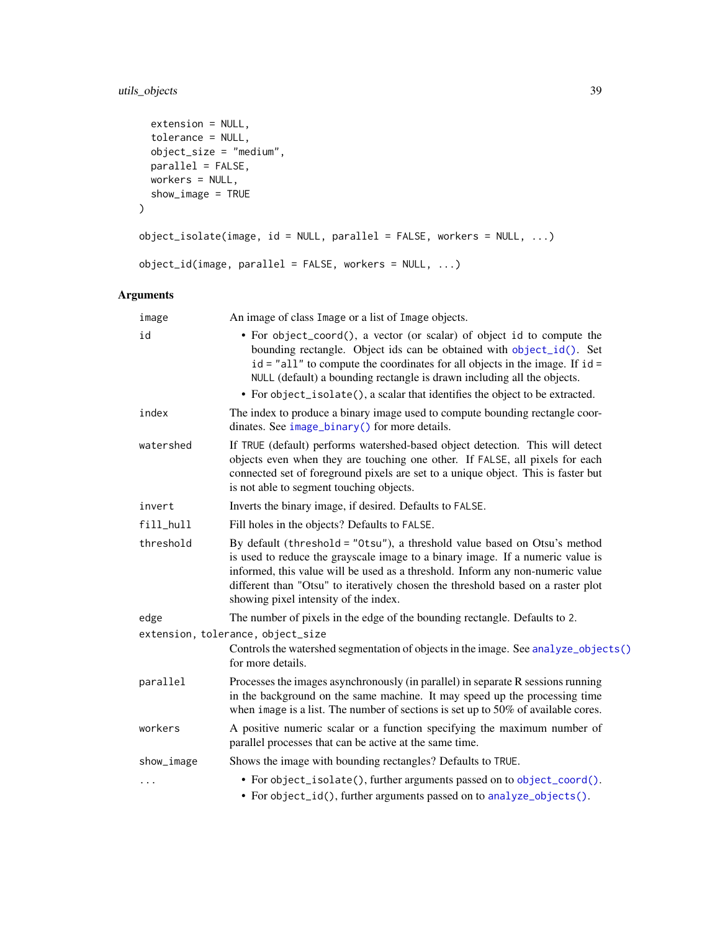# <span id="page-38-0"></span>utils\_objects 39

```
extension = NULL,
  tolerance = NULL,
  object_size = "medium",
  parallel = FALSE,
  workers = NULL,
  show_image = TRUE
\mathcal{L}object_isolate(image, id = NULL, parallel = FALSE, workers = NULL, ...)
object_id(image, parallel = FALSE, workers = NULL, ...)
```
# Arguments

| image      | An image of class Image or a list of Image objects.                                                                                                                                                                                                                                                                                                                                          |
|------------|----------------------------------------------------------------------------------------------------------------------------------------------------------------------------------------------------------------------------------------------------------------------------------------------------------------------------------------------------------------------------------------------|
| id         | • For object_coord(), a vector (or scalar) of object id to compute the<br>bounding rectangle. Object ids can be obtained with object_id(). Set<br>$id = "all"$ to compute the coordinates for all objects in the image. If $id =$<br>NULL (default) a bounding rectangle is drawn including all the objects.<br>• For object_isolate(), a scalar that identifies the object to be extracted. |
| index      | The index to produce a binary image used to compute bounding rectangle coor-<br>dinates. See image_binary() for more details.                                                                                                                                                                                                                                                                |
| watershed  | If TRUE (default) performs watershed-based object detection. This will detect<br>objects even when they are touching one other. If FALSE, all pixels for each<br>connected set of foreground pixels are set to a unique object. This is faster but<br>is not able to segment touching objects.                                                                                               |
| invert     | Inverts the binary image, if desired. Defaults to FALSE.                                                                                                                                                                                                                                                                                                                                     |
| fill hull  | Fill holes in the objects? Defaults to FALSE.                                                                                                                                                                                                                                                                                                                                                |
| threshold  | By default (threshold = "0tsu"), a threshold value based on Otsu's method<br>is used to reduce the grayscale image to a binary image. If a numeric value is<br>informed, this value will be used as a threshold. Inform any non-numeric value<br>different than "Otsu" to iteratively chosen the threshold based on a raster plot<br>showing pixel intensity of the index.                   |
| edge       | The number of pixels in the edge of the bounding rectangle. Defaults to 2.                                                                                                                                                                                                                                                                                                                   |
|            | extension, tolerance, object_size<br>Controls the watershed segmentation of objects in the image. See analyze_objects()<br>for more details.                                                                                                                                                                                                                                                 |
| parallel   | Processes the images asynchronously (in parallel) in separate R sessions running<br>in the background on the same machine. It may speed up the processing time<br>when image is a list. The number of sections is set up to $50\%$ of available cores.                                                                                                                                       |
| workers    | A positive numeric scalar or a function specifying the maximum number of<br>parallel processes that can be active at the same time.                                                                                                                                                                                                                                                          |
| show_image | Shows the image with bounding rectangles? Defaults to TRUE.                                                                                                                                                                                                                                                                                                                                  |
| .          | • For object_isolate(), further arguments passed on to object_coord().<br>• For object_id(), further arguments passed on to analyze_objects().                                                                                                                                                                                                                                               |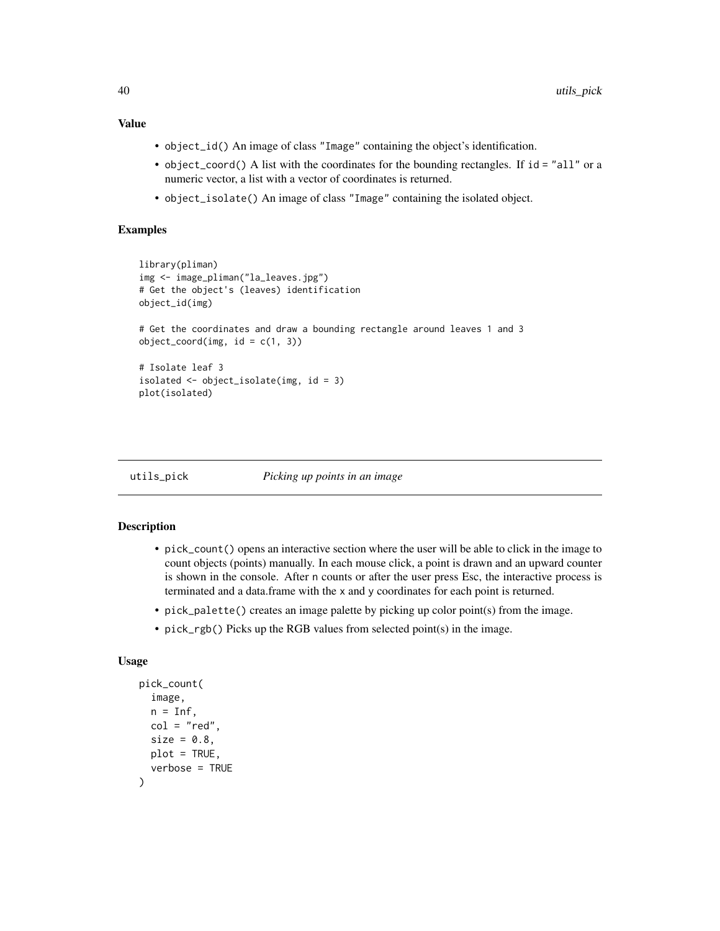# Value

- object\_id() An image of class "Image" containing the object's identification.
- object\_coord() A list with the coordinates for the bounding rectangles. If  $id = "all"$  or a numeric vector, a list with a vector of coordinates is returned.
- object\_isolate() An image of class "Image" containing the isolated object.

### Examples

```
library(pliman)
img <- image_pliman("la_leaves.jpg")
# Get the object's (leaves) identification
object_id(img)
# Get the coordinates and draw a bounding rectangle around leaves 1 and 3
object\_coord(img, id = c(1, 3))# Isolate leaf 3
isolated <- object_isolate(img, id = 3)
plot(isolated)
```
#### utils\_pick *Picking up points in an image*

#### <span id="page-39-1"></span>**Description**

- pick\_count() opens an interactive section where the user will be able to click in the image to count objects (points) manually. In each mouse click, a point is drawn and an upward counter is shown in the console. After n counts or after the user press Esc, the interactive process is terminated and a data.frame with the x and y coordinates for each point is returned.
- pick\_palette() creates an image palette by picking up color point(s) from the image.
- pick\_rgb() Picks up the RGB values from selected point(s) in the image.

```
pick_count(
  image,
 n = Inf,col = "red",size = 0.8,
 plot = TRUE,
  verbose = TRUE
)
```
<span id="page-39-0"></span>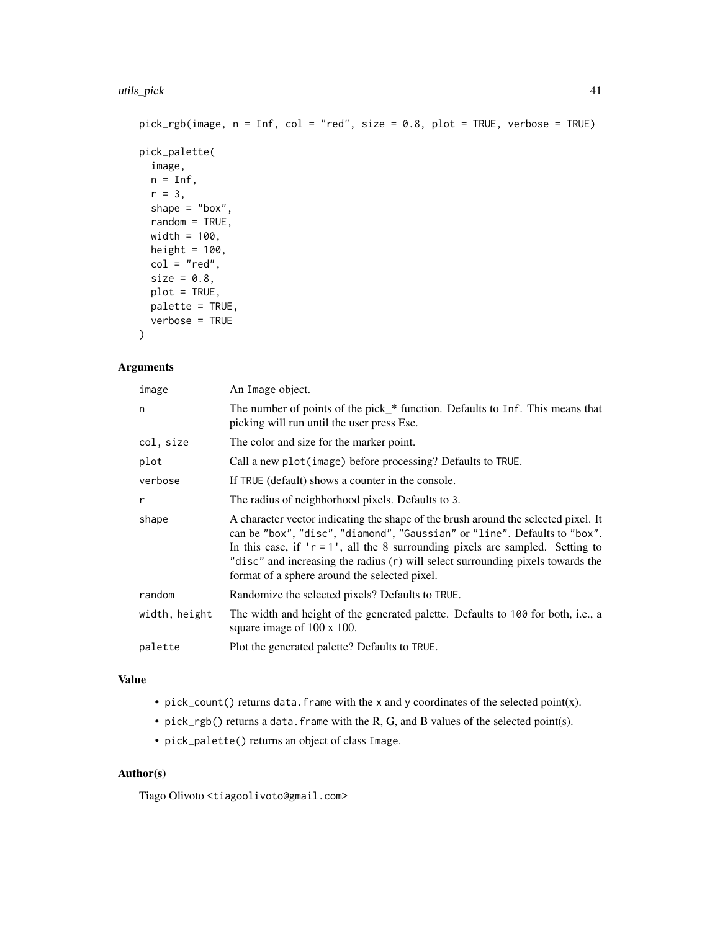```
pick_rgb(image, n = Inf, col = "red", size = 0.8, plot = TRUE, verbose = TRUE)
pick_palette(
 image,
 n = Inf,r = 3,
  shape = "box",
 random = TRUE,
 width = 100,
 height = 100,
 col = "red",size = 0.8,
 plot = TRUE,
 palette = TRUE,
 verbose = TRUE
```

```
)
```
# Arguments

| image         | An Image object.                                                                                                                                                                                                                                                                                                                                                                         |
|---------------|------------------------------------------------------------------------------------------------------------------------------------------------------------------------------------------------------------------------------------------------------------------------------------------------------------------------------------------------------------------------------------------|
| n             | The number of points of the pick_* function. Defaults to Inf. This means that<br>picking will run until the user press Esc.                                                                                                                                                                                                                                                              |
| col, size     | The color and size for the marker point.                                                                                                                                                                                                                                                                                                                                                 |
| plot          | Call a new plot (image) before processing? Defaults to TRUE.                                                                                                                                                                                                                                                                                                                             |
| verbose       | If TRUE (default) shows a counter in the console.                                                                                                                                                                                                                                                                                                                                        |
| r             | The radius of neighborhood pixels. Defaults to 3.                                                                                                                                                                                                                                                                                                                                        |
| shape         | A character vector indicating the shape of the brush around the selected pixel. It<br>can be "box", "disc", "diamond", "Gaussian" or "line". Defaults to "box".<br>In this case, if $'r = 1'$ , all the 8 surrounding pixels are sampled. Setting to<br>"disc" and increasing the radius (r) will select surrounding pixels towards the<br>format of a sphere around the selected pixel. |
| random        | Randomize the selected pixels? Defaults to TRUE.                                                                                                                                                                                                                                                                                                                                         |
| width, height | The width and height of the generated palette. Defaults to 100 for both, i.e., a<br>square image of 100 x 100.                                                                                                                                                                                                                                                                           |
| palette       | Plot the generated palette? Defaults to TRUE.                                                                                                                                                                                                                                                                                                                                            |
|               |                                                                                                                                                                                                                                                                                                                                                                                          |

# Value

- pick\_count() returns data. frame with the x and y coordinates of the selected point(x).
- pick\_rgb() returns a data. frame with the R, G, and B values of the selected point(s).
- pick\_palette() returns an object of class Image.

# Author(s)

Tiago Olivoto <tiagoolivoto@gmail.com>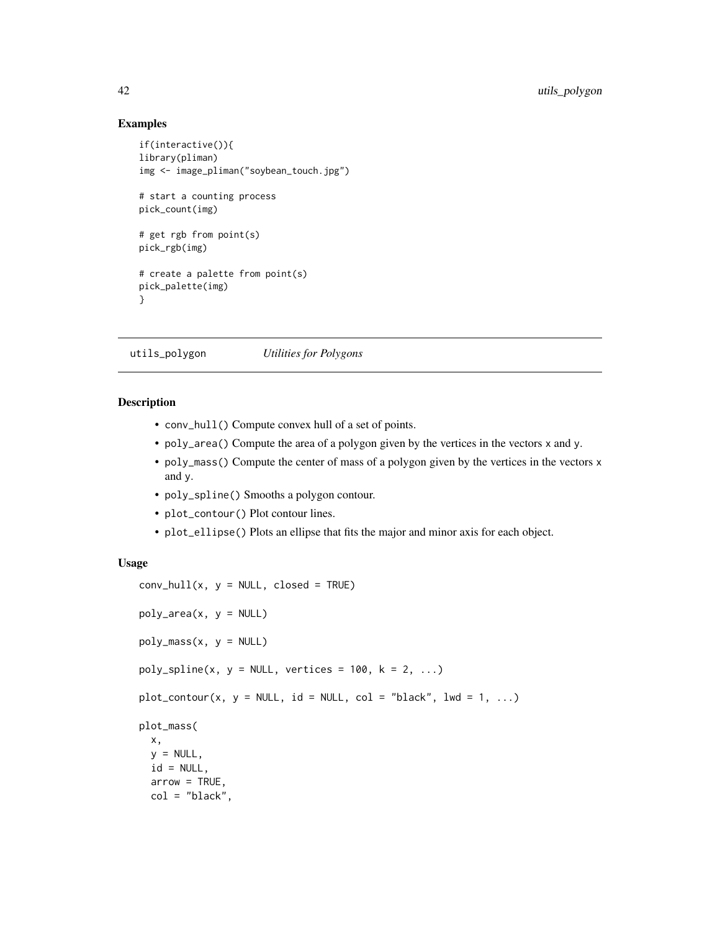#### Examples

```
if(interactive()){
library(pliman)
img <- image_pliman("soybean_touch.jpg")
# start a counting process
pick_count(img)
# get rgb from point(s)
pick_rgb(img)
# create a palette from point(s)
pick_palette(img)
}
```
utils\_polygon *Utilities for Polygons*

#### Description

- conv\_hull() Compute convex hull of a set of points.
- poly\_area() Compute the area of a polygon given by the vertices in the vectors x and y.
- poly\_mass() Compute the center of mass of a polygon given by the vertices in the vectors x and y.
- poly\_spline() Smooths a polygon contour.
- plot\_contour() Plot contour lines.
- plot\_ellipse() Plots an ellipse that fits the major and minor axis for each object.

```
conv\_hull(x, y = NULL, closed = TRUE)poly_area(x, y = NULL)
poly\_mass(x, y = NULL)poly\_spline(x, y = NULL, vertices = 100, k = 2, ...)plot_{contour}(x, y = NULL, id = NULL, col = "black", lwd = 1, ...)plot_mass(
  x,
  y = NULL,
  id = NULL,arrow = TRUE,
  col = "black",
```
<span id="page-41-0"></span>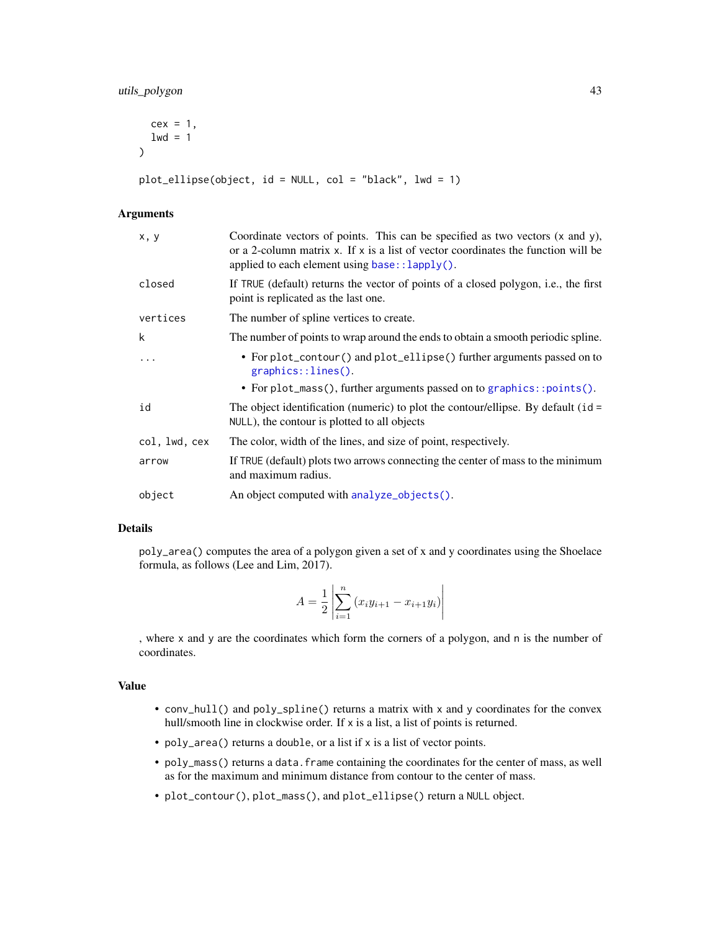```
cex = 1,
  1wd = 1\lambda
```
plot\_ellipse(object, id = NULL, col = "black", lwd = 1)

# Arguments

| x, y          | Coordinate vectors of points. This can be specified as two vectors (x and y),<br>or a 2-column matrix $x$ . If $x$ is a list of vector coordinates the function will be<br>applied to each element using $base::lapply()$ . |
|---------------|-----------------------------------------------------------------------------------------------------------------------------------------------------------------------------------------------------------------------------|
| closed        | If TRUE (default) returns the vector of points of a closed polygon, i.e., the first<br>point is replicated as the last one.                                                                                                 |
| vertices      | The number of spline vertices to create.                                                                                                                                                                                    |
| k             | The number of points to wrap around the ends to obtain a smooth periodic spline.                                                                                                                                            |
| $\ddots$      | • For plot_contour() and plot_ellipse() further arguments passed on to<br>$graphics::lines()$ .                                                                                                                             |
|               | • For plot_mass(), further arguments passed on to graphics::points().                                                                                                                                                       |
| id            | The object identification (numeric) to plot the contour/ellipse. By default ( $id =$<br>NULL), the contour is plotted to all objects                                                                                        |
| col, lwd, cex | The color, width of the lines, and size of point, respectively.                                                                                                                                                             |
| arrow         | If TRUE (default) plots two arrows connecting the center of mass to the minimum<br>and maximum radius.                                                                                                                      |
| object        | An object computed with analyze_objects().                                                                                                                                                                                  |
|               |                                                                                                                                                                                                                             |

# Details

poly\_area() computes the area of a polygon given a set of x and y coordinates using the Shoelace formula, as follows (Lee and Lim, 2017).

$$
A = \frac{1}{2} \left| \sum_{i=1}^{n} (x_i y_{i+1} - x_{i+1} y_i) \right|
$$

, where x and y are the coordinates which form the corners of a polygon, and n is the number of coordinates.

# Value

- conv\_hull() and poly\_spline() returns a matrix with x and y coordinates for the convex hull/smooth line in clockwise order. If x is a list, a list of points is returned.
- poly\_area() returns a double, or a list if x is a list of vector points.
- poly\_mass() returns a data.frame containing the coordinates for the center of mass, as well as for the maximum and minimum distance from contour to the center of mass.
- plot\_contour(), plot\_mass(), and plot\_ellipse() return a NULL object.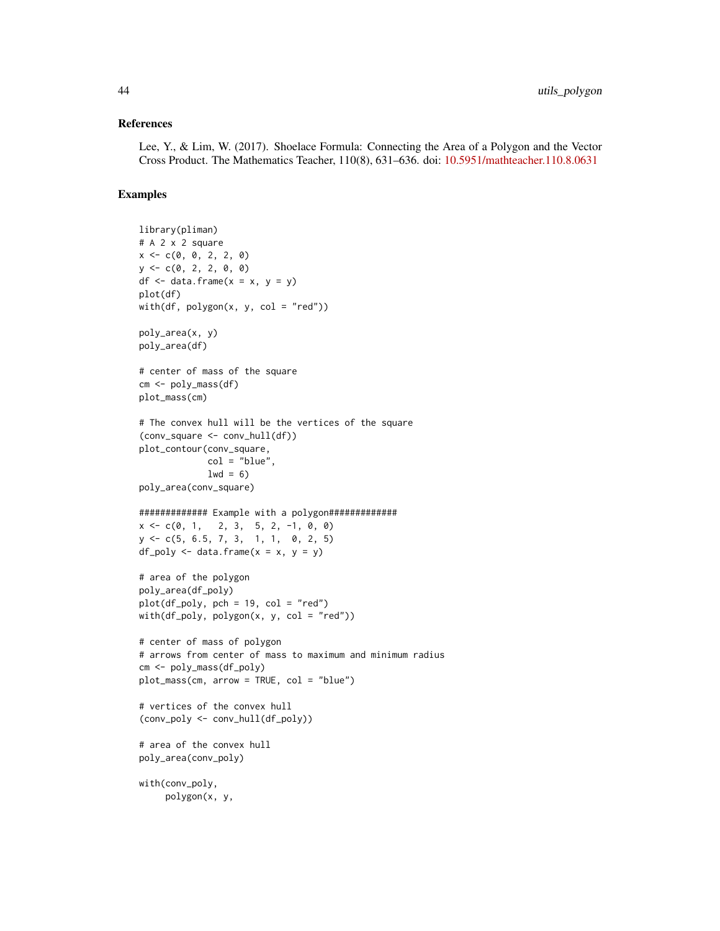#### References

Lee, Y., & Lim, W. (2017). Shoelace Formula: Connecting the Area of a Polygon and the Vector Cross Product. The Mathematics Teacher, 110(8), 631–636. doi: [10.5951/mathteacher.110.8.0631](https://doi.org/10.5951/mathteacher.110.8.0631)

#### Examples

```
library(pliman)
# A 2 x 2 square
x \leq -c(0, 0, 2, 2, 0)y \leq -c(0, 2, 2, 0, 0)df \leq data.frame(x = x, y = y)
plot(df)
with(df, polygon(x, y, col = "red"))poly_area(x, y)
poly_area(df)
# center of mass of the square
cm <- poly_mass(df)
plot_mass(cm)
# The convex hull will be the vertices of the square
(conv_square <- conv_hull(df))
plot_contour(conv_square,
             col = "blue",1wd = 6poly_area(conv_square)
############# Example with a polygon#############
x \leq -c(0, 1, 2, 3, 5, 2, -1, 0, 0)y \leq -c(5, 6.5, 7, 3, 1, 1, 0, 2, 5)df_poly \leq data.frame(x = x, y = y)# area of the polygon
poly_area(df_poly)
plot(df_poly, pch = 19, col = "red")with(df_poly, polygon(x, y, col = "red"))# center of mass of polygon
# arrows from center of mass to maximum and minimum radius
cm <- poly_mass(df_poly)
plot_mass(cm, arrow = TRUE, col = "blue")
# vertices of the convex hull
(conv_poly <- conv_hull(df_poly))
# area of the convex hull
poly_area(conv_poly)
with(conv_poly,
     polygon(x, y,
```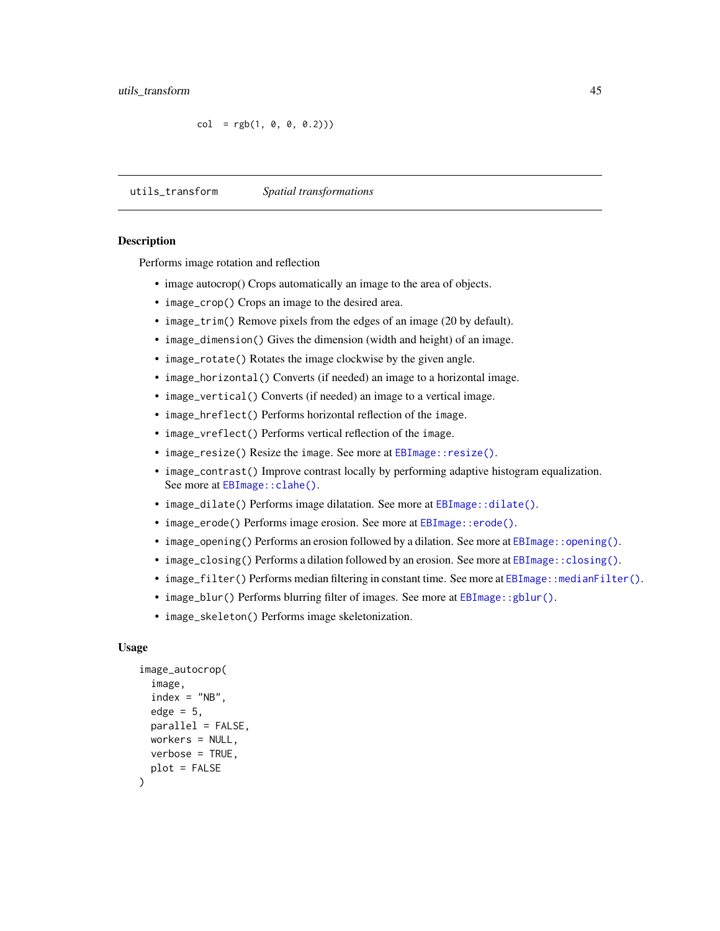```
col = rgb(1, 0, 0, 0.2))
```
utils\_transform *Spatial transformations*

# <span id="page-44-1"></span>**Description**

Performs image rotation and reflection

- image autocrop() Crops automatically an image to the area of objects.
- image\_crop() Crops an image to the desired area.
- image\_trim() Remove pixels from the edges of an image (20 by default).
- image\_dimension() Gives the dimension (width and height) of an image.
- image\_rotate() Rotates the image clockwise by the given angle.
- image\_horizontal() Converts (if needed) an image to a horizontal image.
- image\_vertical() Converts (if needed) an image to a vertical image.
- image\_hreflect() Performs horizontal reflection of the image.
- image\_vreflect() Performs vertical reflection of the image.
- image\_resize() Resize the image. See more at EBImage:: resize().
- image\_contrast() Improve contrast locally by performing adaptive histogram equalization. See more at EBImage:: clahe().
- image\_dilate() Performs image dilatation. See more at [EBImage::dilate\(\)](#page-0-0).
- image\_erode() Performs image erosion. See more at [EBImage::erode\(\)](#page-0-0).
- image\_opening() Performs an erosion followed by a dilation. See more at [EBImage::opening\(\)](#page-0-0).
- image\_closing() Performs a dilation followed by an erosion. See more at [EBImage::closing\(\)](#page-0-0).
- image\_filter() Performs median filtering in constant time. See more at [EBImage::medianFilter\(\)](#page-0-0).
- image\_blur() Performs blurring filter of images. See more at [EBImage::gblur\(\)](#page-0-0).
- image\_skeleton() Performs image skeletonization.

```
image_autocrop(
  image,
  index = "NB",edge = 5,
 parallel = FALSE,
 workers = NULL,
 verbose = TRUE,
 plot = FALSE
)
```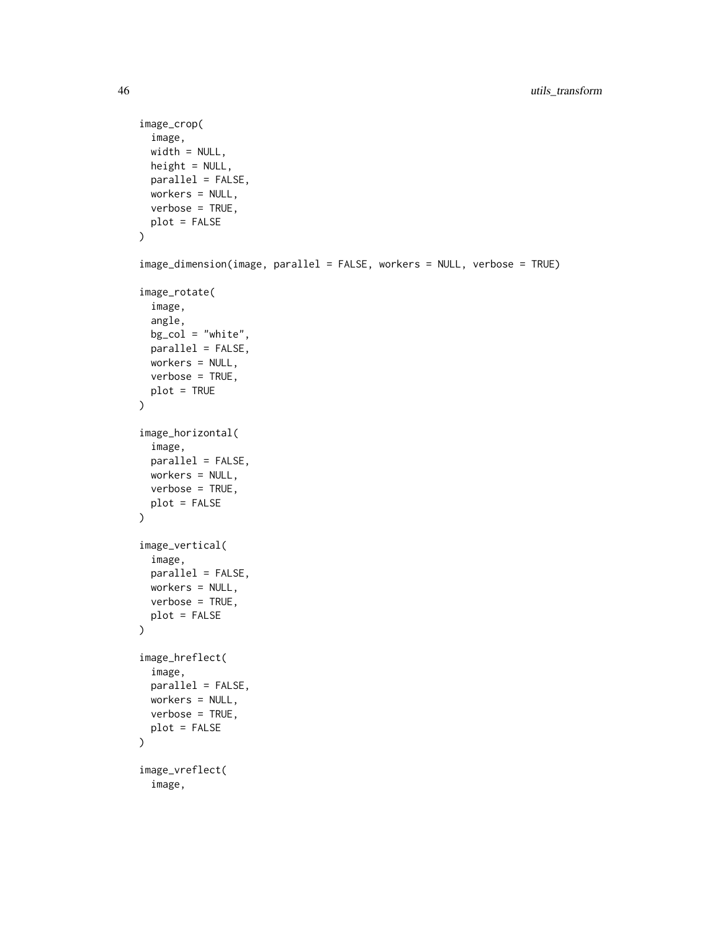```
image_crop(
  image,
 width = NULL,height = NULL,
 parallel = FALSE,
 workers = NULL,
 verbose = TRUE,
 plot = FALSE
)
image_dimension(image, parallel = FALSE, workers = NULL, verbose = TRUE)
image_rotate(
  image,
  angle,
 bg\_col = "white",parallel = FALSE,
 workers = NULL,
 verbose = TRUE,
 plot = TRUE
)
image_horizontal(
  image,
 parallel = FALSE,
 workers = NULL,
 verbose = TRUE,
 plot = FALSE
\mathcal{L}image_vertical(
  image,
 parallel = FALSE,
 workers = NULL,
 verbose = TRUE,
 plot = FALSE
\lambdaimage_hreflect(
  image,
 parallel = FALSE,
 workers = NULL,
 verbose = TRUE,
 plot = FALSE
\mathcal{L}image_vreflect(
  image,
```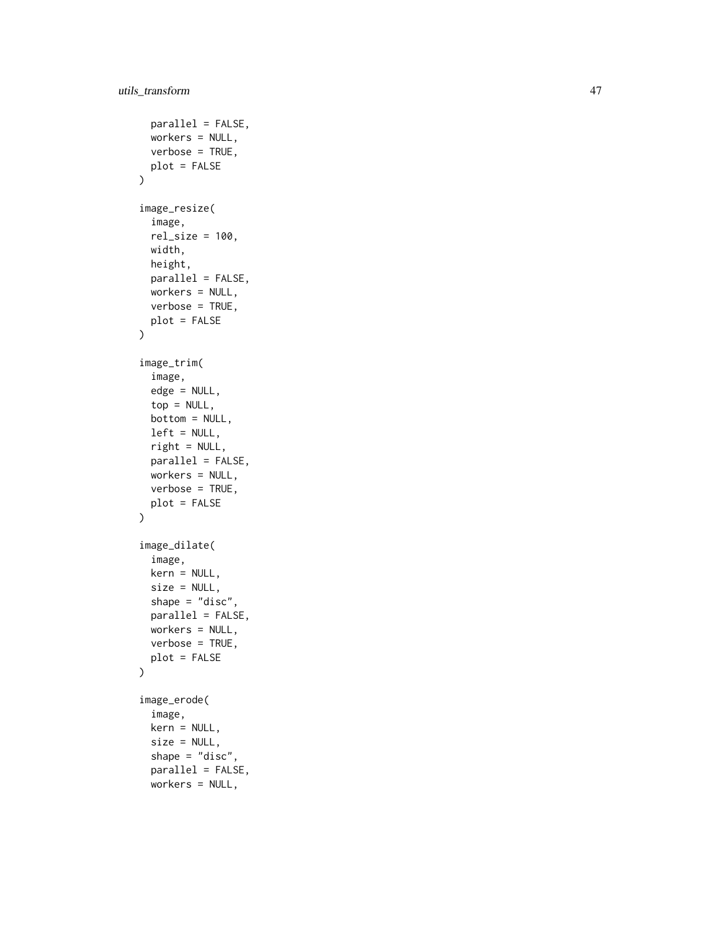```
parallel = FALSE,
 workers = NULL,
 verbose = TRUE,
 plot = FALSE
\mathcal{L}image_resize(
  image,
 rel\_size = 100,width,
 height,
 parallel = FALSE,
 workers = NULL,
 verbose = TRUE,
 plot = FALSE
)
image_trim(
  image,
 edge = NULL,
  top = NULL,
 bottom = NULL,
 left = NULL,right = NULL,
 parallel = FALSE,
 workers = NULL,
 verbose = TRUE,
 plot = FALSE
\mathcal{L}image_dilate(
  image,
 kern = NULL,
 size = NULL,
 shape = "disc",parallel = FALSE,
 workers = NULL,
 verbose = TRUE,
 plot = FALSE
\mathcal{L}image_erode(
  image,
 kern = NULL,
  size = NULL,
  shape = "disc",
 parallel = FALSE,
 workers = NULL,
```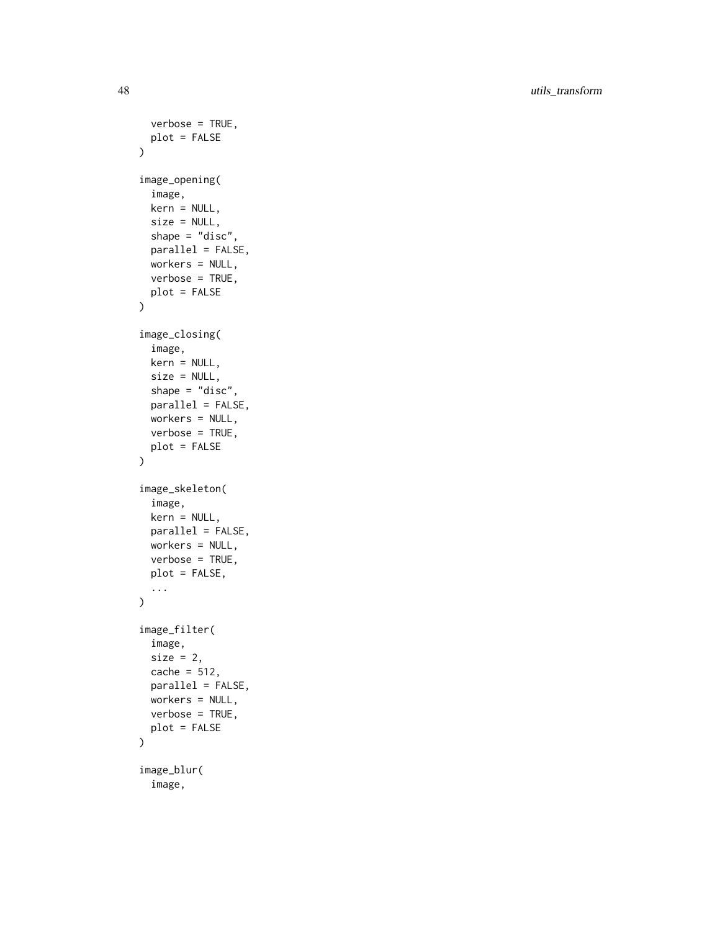48 utils\_transform

```
verbose = TRUE,
 plot = FALSE
\lambdaimage_opening(
  image,
 kern = NULL,
 size = NULL,
  shape = "disc",parallel = FALSE,
 workers = NULL,
 verbose = TRUE,
 plot = FALSE
)
image_closing(
  image,
 kern = NULL,
 size = NULL,
  shape = "disc",parallel = FALSE,
 workers = NULL,
 verbose = TRUE,
 plot = FALSE
\mathcal{L}image_skeleton(
  image,
 kern = NULL,
 parallel = FALSE,
 workers = NULL,
 verbose = TRUE,
 plot = FALSE,
  ...
\mathcal{L}image_filter(
  image,
 size = 2,
 cache = 512,
 parallel = FALSE,
 workers = NULL,
 verbose = TRUE,
 plot = FALSE
\mathcal{L}image_blur(
  image,
```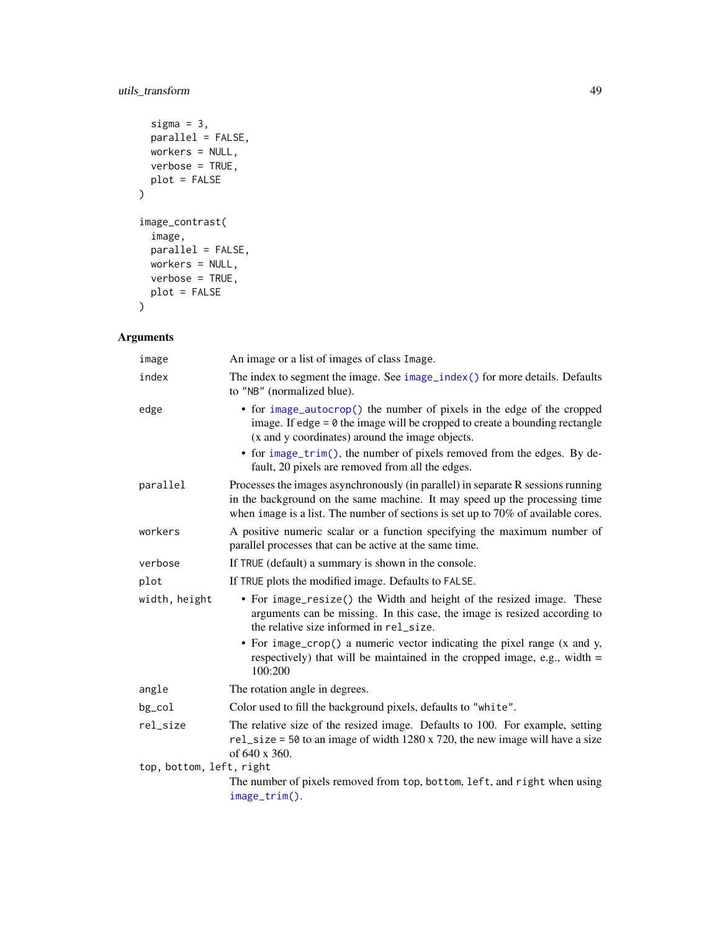# <span id="page-48-0"></span>utils\_transform 49

```
sigma = 3,
 parallel = FALSE,
 workers = NULL,
 verbose = TRUE,
 plot = FALSE
\mathcal{L}image_contrast(
 image,
 parallel = FALSE,
 workers = NULL,
 verbose = TRUE,
 plot = FALSE
)
```
# Arguments

| image                    | An image or a list of images of class Image.                                                                                                                                                                                                           |  |
|--------------------------|--------------------------------------------------------------------------------------------------------------------------------------------------------------------------------------------------------------------------------------------------------|--|
| index                    | The index to segment the image. See image_index() for more details. Defaults<br>to "NB" (normalized blue).                                                                                                                                             |  |
| edge                     | • for image_autocrop() the number of pixels in the edge of the cropped<br>image. If edge $= 0$ the image will be cropped to create a bounding rectangle<br>(x and y coordinates) around the image objects.                                             |  |
|                          | • for $image\_trim()$ , the number of pixels removed from the edges. By de-<br>fault, 20 pixels are removed from all the edges.                                                                                                                        |  |
| parallel                 | Processes the images asynchronously (in parallel) in separate R sessions running<br>in the background on the same machine. It may speed up the processing time<br>when image is a list. The number of sections is set up to $70\%$ of available cores. |  |
| workers                  | A positive numeric scalar or a function specifying the maximum number of<br>parallel processes that can be active at the same time.                                                                                                                    |  |
| verbose                  | If TRUE (default) a summary is shown in the console.                                                                                                                                                                                                   |  |
| plot                     | If TRUE plots the modified image. Defaults to FALSE.                                                                                                                                                                                                   |  |
| width, height            | • For image_resize() the Width and height of the resized image. These<br>arguments can be missing. In this case, the image is resized according to<br>the relative size informed in rel_size.                                                          |  |
|                          | • For image_crop() a numeric vector indicating the pixel range (x and y,<br>respectively) that will be maintained in the cropped image, e.g., width $=$<br>100:200                                                                                     |  |
| angle                    | The rotation angle in degrees.                                                                                                                                                                                                                         |  |
| bg_col                   | Color used to fill the background pixels, defaults to "white".                                                                                                                                                                                         |  |
| rel_size                 | The relative size of the resized image. Defaults to 100. For example, setting<br>$rel\_size = 50$ to an image of width 1280 x 720, the new image will have a size<br>of 640 x 360.                                                                     |  |
| top, bottom, left, right |                                                                                                                                                                                                                                                        |  |
|                          | The number of pixels removed from top, bottom, left, and right when using<br>image_trim().                                                                                                                                                             |  |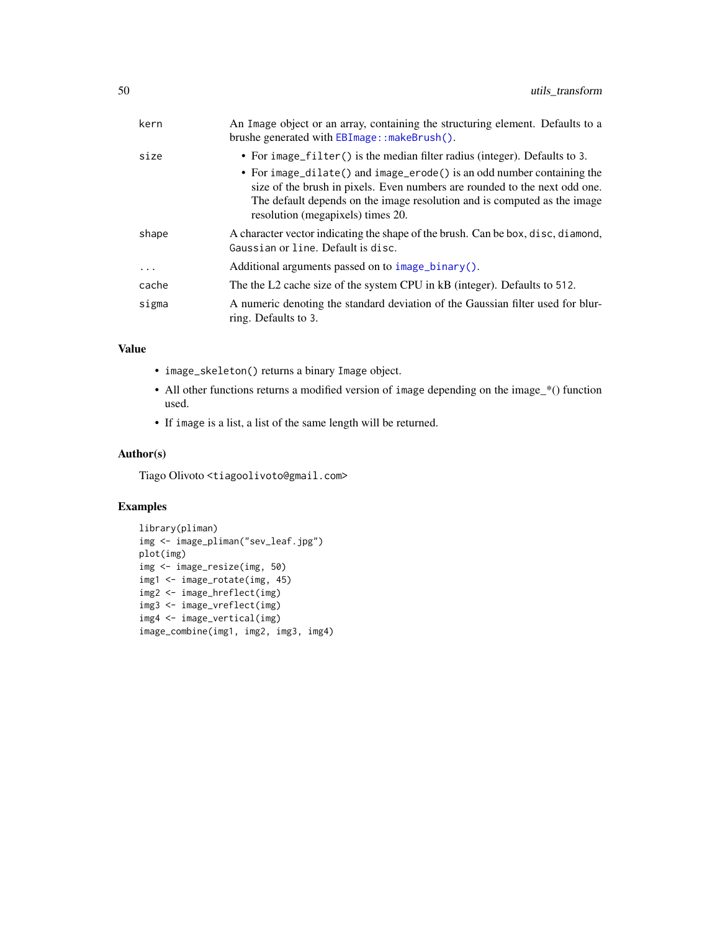<span id="page-49-0"></span>

| kern     | An Image object or an array, containing the structuring element. Defaults to a<br>brushe generated with EBImage::makeBrush().                                                                                                                                                                                                                       |
|----------|-----------------------------------------------------------------------------------------------------------------------------------------------------------------------------------------------------------------------------------------------------------------------------------------------------------------------------------------------------|
| size     | • For image_filter() is the median filter radius (integer). Defaults to 3.<br>• For image_dilate() and image_erode() is an odd number containing the<br>size of the brush in pixels. Even numbers are rounded to the next odd one.<br>The default depends on the image resolution and is computed as the image<br>resolution (megapixels) times 20. |
| shape    | A character vector indicating the shape of the brush. Can be box, disc, diamond,<br>Gaussian or line. Default is disc.                                                                                                                                                                                                                              |
| $\cdots$ | Additional arguments passed on to $\text{image\_binary}()$ .                                                                                                                                                                                                                                                                                        |
| cache    | The the L2 cache size of the system CPU in kB (integer). Defaults to 512.                                                                                                                                                                                                                                                                           |
| sigma    | A numeric denoting the standard deviation of the Gaussian filter used for blur-<br>ring. Defaults to 3.                                                                                                                                                                                                                                             |

# Value

- image\_skeleton() returns a binary Image object.
- All other functions returns a modified version of image depending on the image\_\*() function used.
- If image is a list, a list of the same length will be returned.

# Author(s)

Tiago Olivoto <tiagoolivoto@gmail.com>

#### Examples

```
library(pliman)
img <- image_pliman("sev_leaf.jpg")
plot(img)
img <- image_resize(img, 50)
img1 <- image_rotate(img, 45)
img2 <- image_hreflect(img)
img3 <- image_vreflect(img)
img4 <- image_vertical(img)
image_combine(img1, img2, img3, img4)
```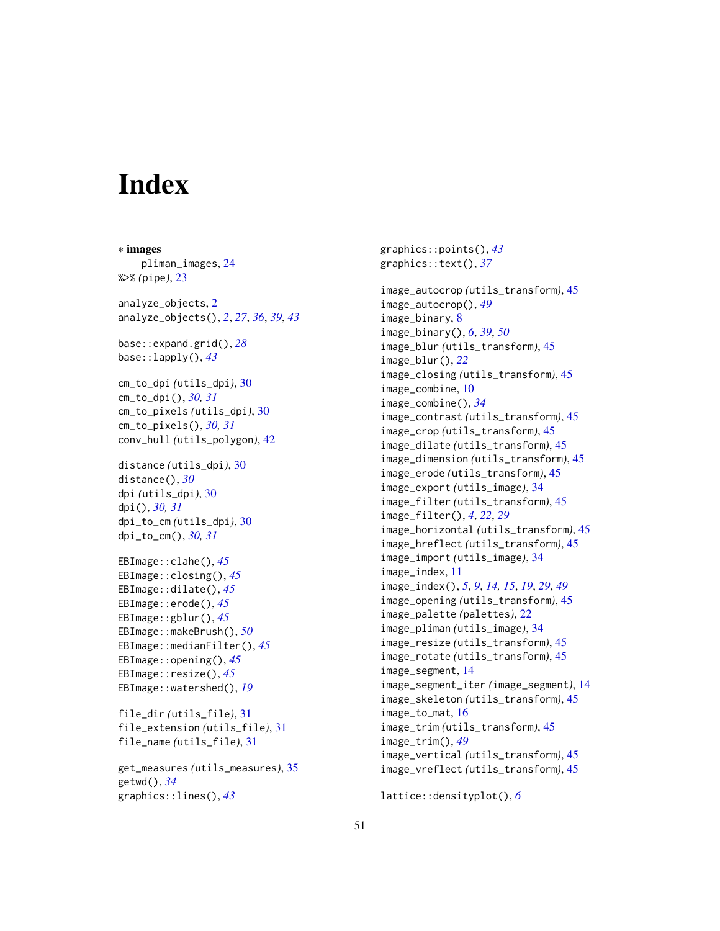# <span id="page-50-0"></span>**Index**

```
∗ images
    pliman_images, 24
%>% (pipe), 23
analyze_objects, 2
analyze_objects(), 2, 27, 36, 39, 43
base::expand.grid(), 28
base::lapply(), 43
cm_to_dpi (utils_dpi), 30
cm_to_dpi(), 30, 31
cm_to_pixels (utils_dpi), 30
cm_to_pixels(), 30, 31
conv_hull (utils_polygon), 42
distance (utils_dpi), 30
distance(), 30
dpi (utils_dpi), 30
dpi(), 30, 31
dpi_to_cm (utils_dpi), 30
dpi_to_cm(), 30, 31
EBImage::clahe(), 45
EBImage::closing(), 45
EBImage::dilate(), 45
EBImage::erode(), 45
EBImage::gblur(), 45
EBImage::makeBrush(), 50
EBImage::medianFilter(), 45
EBImage::opening(), 45
EBImage::resize(), 45
EBImage::watershed(), 19
file_dir (utils_file), 31
file_extension (utils_file), 31
file_name (utils_file), 31
```
get\_measures *(*utils\_measures*)*, [35](#page-34-0) getwd(), *[34](#page-33-0)* graphics::lines(), *[43](#page-42-0)*

graphics::points(), *[43](#page-42-0)* graphics::text(), *[37](#page-36-0)* image\_autocrop *(*utils\_transform*)*, [45](#page-44-0) image\_autocrop(), *[49](#page-48-0)* image\_binary, [8](#page-7-0) image\_binary(), *[6](#page-5-0)*, *[39](#page-38-0)*, *[50](#page-49-0)* image\_blur *(*utils\_transform*)*, [45](#page-44-0) image\_blur(), *[22](#page-21-0)* image\_closing *(*utils\_transform*)*, [45](#page-44-0) image\_combine, [10](#page-9-0) image\_combine(), *[34](#page-33-0)* image\_contrast *(*utils\_transform*)*, [45](#page-44-0) image\_crop *(*utils\_transform*)*, [45](#page-44-0) image\_dilate *(*utils\_transform*)*, [45](#page-44-0) image\_dimension *(*utils\_transform*)*, [45](#page-44-0) image\_erode *(*utils\_transform*)*, [45](#page-44-0) image\_export *(*utils\_image*)*, [34](#page-33-0) image\_filter *(*utils\_transform*)*, [45](#page-44-0) image\_filter(), *[4](#page-3-0)*, *[22](#page-21-0)*, *[29](#page-28-0)* image\_horizontal *(*utils\_transform*)*, [45](#page-44-0) image\_hreflect *(*utils\_transform*)*, [45](#page-44-0) image\_import *(*utils\_image*)*, [34](#page-33-0) image\_index, [11](#page-10-0) image\_index(), *[5](#page-4-0)*, *[9](#page-8-0)*, *[14,](#page-13-0) [15](#page-14-0)*, *[19](#page-18-0)*, *[29](#page-28-0)*, *[49](#page-48-0)* image\_opening *(*utils\_transform*)*, [45](#page-44-0) image\_palette *(*palettes*)*, [22](#page-21-0) image\_pliman *(*utils\_image*)*, [34](#page-33-0) image\_resize *(*utils\_transform*)*, [45](#page-44-0) image\_rotate *(*utils\_transform*)*, [45](#page-44-0) image\_segment, [14](#page-13-0) image\_segment\_iter *(*image\_segment*)*, [14](#page-13-0) image\_skeleton *(*utils\_transform*)*, [45](#page-44-0) image\_to\_mat, [16](#page-15-0) image\_trim *(*utils\_transform*)*, [45](#page-44-0) image\_trim(), *[49](#page-48-0)* image\_vertical *(*utils\_transform*)*, [45](#page-44-0) image\_vreflect *(*utils\_transform*)*, [45](#page-44-0)

lattice::densityplot(), *[6](#page-5-0)*